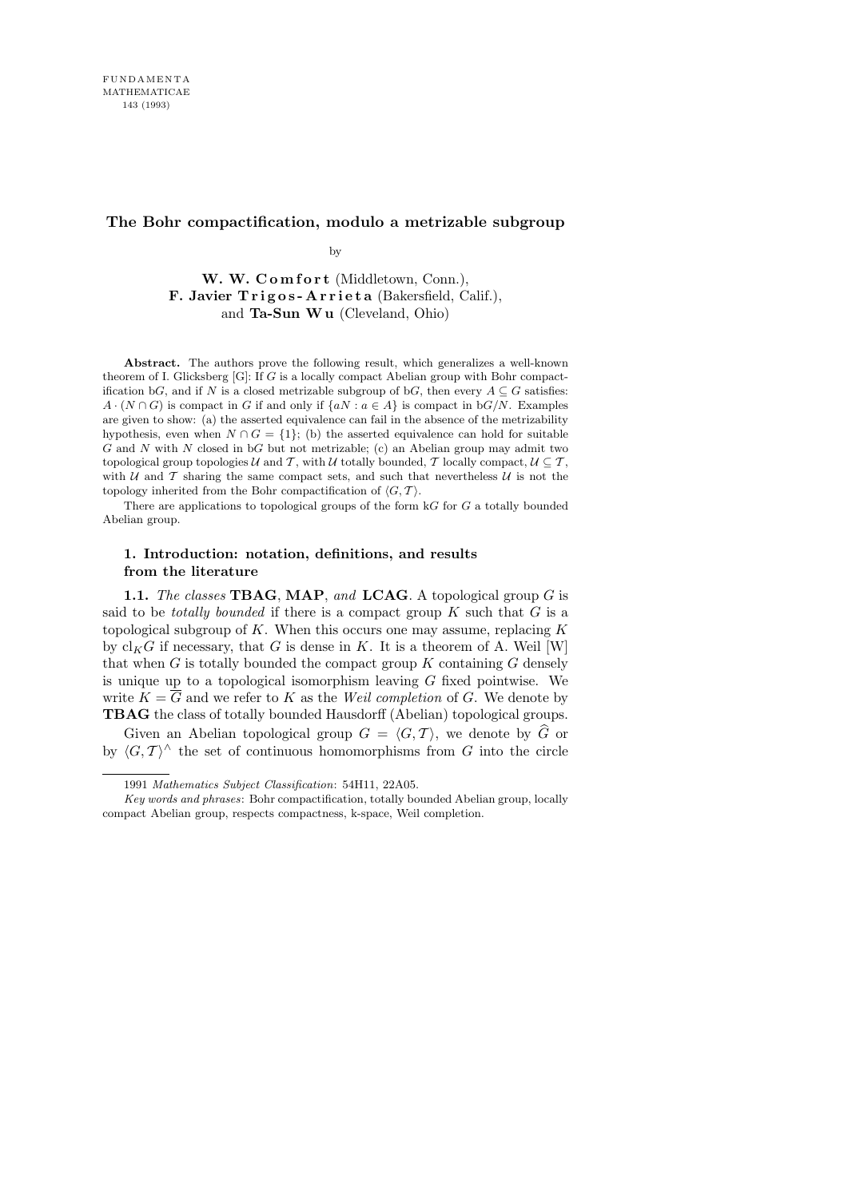# **The Bohr compactification, modulo a metrizable subgroup**

by

W. W. Comfort (Middletown, Conn.), F. Javier Trigos-Arrieta (Bakersfield, Calif.), and Ta-Sun W u (Cleveland, Ohio)

**Abstract.** The authors prove the following result, which generalizes a well-known theorem of I. Glicksberg [G]: If *G* is a locally compact Abelian group with Bohr compactification b*G*, and if *N* is a closed metrizable subgroup of b*G*, then every  $A \subseteq G$  satisfies: *A*  $\cdot$  ( $N \cap G$ ) is compact in *G* if and only if  $\{aN : a \in A\}$  is compact in  $bG/N$ . Examples are given to show: (a) the asserted equivalence can fail in the absence of the metrizability hypothesis, even when  $N \cap G = \{1\}$ ; (b) the asserted equivalence can hold for suitable *G* and *N* with *N* closed in b*G* but not metrizable; (c) an Abelian group may admit two topological group topologies *U* and *T*, with *U* totally bounded, *T* locally compact,  $U \subseteq T$ , with  $U$  and  $T$  sharing the same compact sets, and such that nevertheless  $U$  is not the topology inherited from the Bohr compactification of  $\langle G, \mathcal{T} \rangle$ .

There are applications to topological groups of the form k*G* for *G* a totally bounded Abelian group.

# 1. Introduction: notation, definitions, and results from the literature

1.1. The classes TBAG, MAP, and LCAG. A topological group  $G$  is said to be *totally bounded* if there is a compact group  $K$  such that  $G$  is a topological subgroup of K. When this occurs one may assume, replacing  $K$ by  $\operatorname{cl}_KG$  if necessary, that G is dense in K. It is a theorem of A. Weil [W] that when  $G$  is totally bounded the compact group  $K$  containing  $G$  densely is unique up to a topological isomorphism leaving  $G$  fixed pointwise. We write  $K = \overline{G}$  and we refer to K as the Weil completion of G. We denote by TBAG the class of totally bounded Hausdorff (Abelian) topological groups.

Given an Abelian topological group  $G = \langle G, \mathcal{T} \rangle$ , we denote by  $\widehat{G}$  or by  $\langle G, \mathcal{T} \rangle^{\wedge}$  the set of continuous homomorphisms from G into the circle

<sup>1991</sup> *Mathematics Subject Classification*: 54H11, 22A05.

*Key words and phrases*: Bohr compactification, totally bounded Abelian group, locally compact Abelian group, respects compactness, k-space, Weil completion.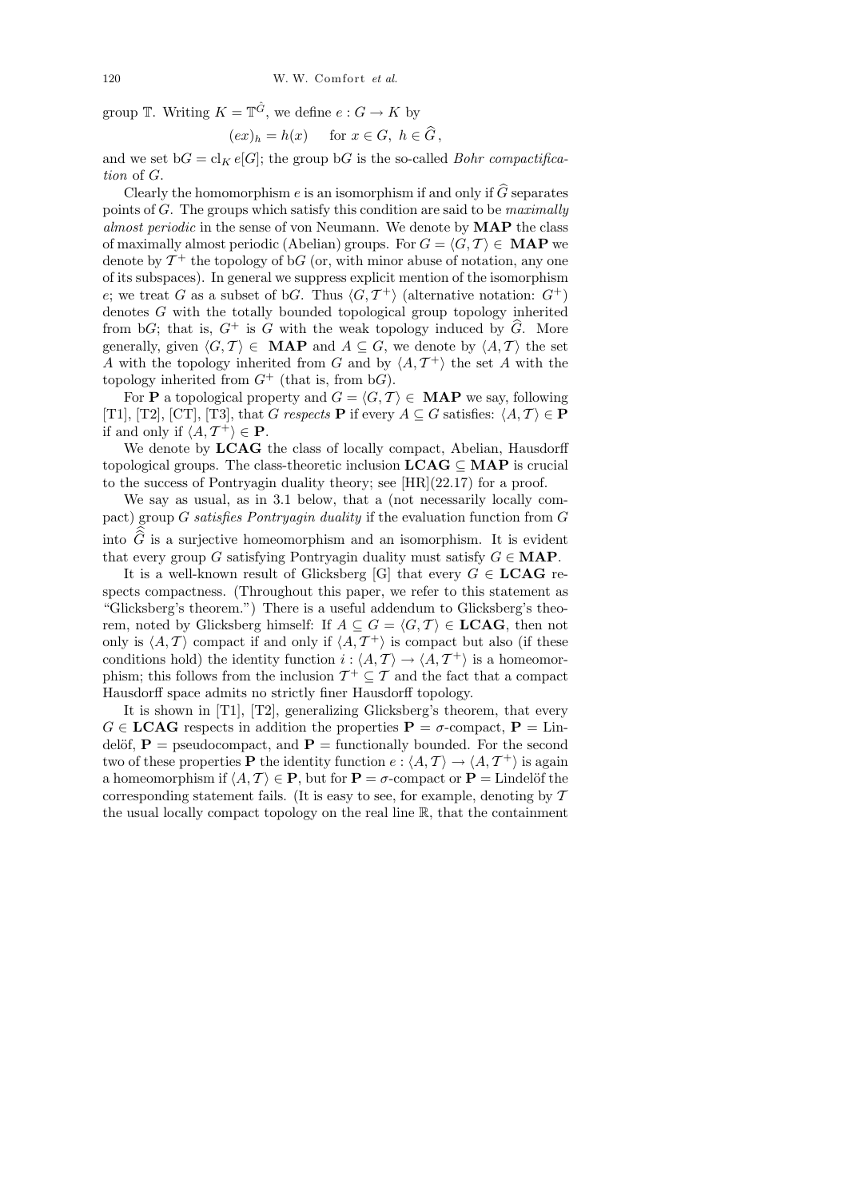group  $\mathbb{T}$ . Writing  $K = \mathbb{T}^{\hat{G}}$ , we define  $e : G \to K$  by

$$
(ex)_h = h(x) \quad \text{for } x \in G, \ h \in \widehat{G},
$$

and we set  $bG = cl_K e[G]$ ; the group  $bG$  is the so-called *Bohr compactifica*tion of G.

Clearly the homomorphism e is an isomorphism if and only if  $\hat{G}$  separates points of  $G$ . The groups which satisfy this condition are said to be *maximally* almost periodic in the sense of von Neumann. We denote by MAP the class of maximally almost periodic (Abelian) groups. For  $G = \langle G, \mathcal{T} \rangle \in \mathbf{MAP}$  we denote by  $\mathcal{T}^+$  the topology of b $G$  (or, with minor abuse of notation, any one of its subspaces). In general we suppress explicit mention of the isomorphism e; we treat G as a subset of bG. Thus  $\langle G, \mathcal{T}^+ \rangle$  (alternative notation:  $G^+$ ) denotes G with the totally bounded topological group topology inherited from bG; that is,  $G^+$  is G with the weak topology induced by  $\hat{G}$ . More generally, given  $\langle G, T \rangle \in \textbf{MAP}$  and  $A \subseteq G$ , we denote by  $\langle A, T \rangle$  the set A with the topology inherited from G and by  $\langle A, \mathcal{T}^{\dagger} \rangle$  the set A with the topology inherited from  $G^+$  (that is, from b $G$ ).

For **P** a topological property and  $G = \langle G, \mathcal{T} \rangle \in \mathbf{MAP}$  we say, following [T1], [T2], [CT], [T3], that G respects **P** if every  $A \subseteq G$  satisfies:  $\langle A, \mathcal{T} \rangle \in \mathbf{P}$ if and only if  $\langle A, T^{\dagger} \rangle \in \mathbf{P}$ .

We denote by **LCAG** the class of locally compact, Abelian, Hausdorff topological groups. The class-theoretic inclusion  $LCAG \subseteq MAP$  is crucial to the success of Pontryagin duality theory; see [HR](22.17) for a proof.

We say as usual, as in 3.1 below, that a (not necessarily locally compact) group G satisfies Pontryagin duality if the evaluation function from G into  $G$  is a surjective homeomorphism and an isomorphism. It is evident that every group G satisfying Pontryagin duality must satisfy  $G \in \mathbf{MAP}$ .

It is a well-known result of Glicksberg [G] that every  $G \in \mathbf{LCAG}$  respects compactness. (Throughout this paper, we refer to this statement as "Glicksberg's theorem.") There is a useful addendum to Glicksberg's theorem, noted by Glicksberg himself: If  $A \subseteq G = \langle G, \mathcal{T} \rangle \in \mathbf{LCAG}$ , then not only is  $\langle A, \mathcal{T} \rangle$  compact if and only if  $\langle A, \mathcal{T}^+ \rangle$  is compact but also (if these conditions hold) the identity function  $i: \langle A, \mathcal{T} \rangle \to \langle A, \mathcal{T}^+ \rangle$  is a homeomorphism; this follows from the inclusion  $\mathcal{T}^+ \subseteq \mathcal{T}$  and the fact that a compact Hausdorff space admits no strictly finer Hausdorff topology.

It is shown in [T1], [T2], generalizing Glicksberg's theorem, that every  $G \in \text{LCAG}$  respects in addition the properties  $P = \sigma$ -compact,  $P = \text{Lin}$ delöf,  $P =$  pseudocompact, and  $P =$  functionally bounded. For the second two of these properties **P** the identity function  $e: \langle A, \mathcal{T} \rangle \to \langle A, \mathcal{T}^+ \rangle$  is again a homeomorphism if  $\langle A, \mathcal{T} \rangle \in \mathbf{P}$ , but for  $\mathbf{P} = \sigma$ -compact or  $\mathbf{P} =$  Lindelöf the corresponding statement fails. (It is easy to see, for example, denoting by  $T$ the usual locally compact topology on the real line R, that the containment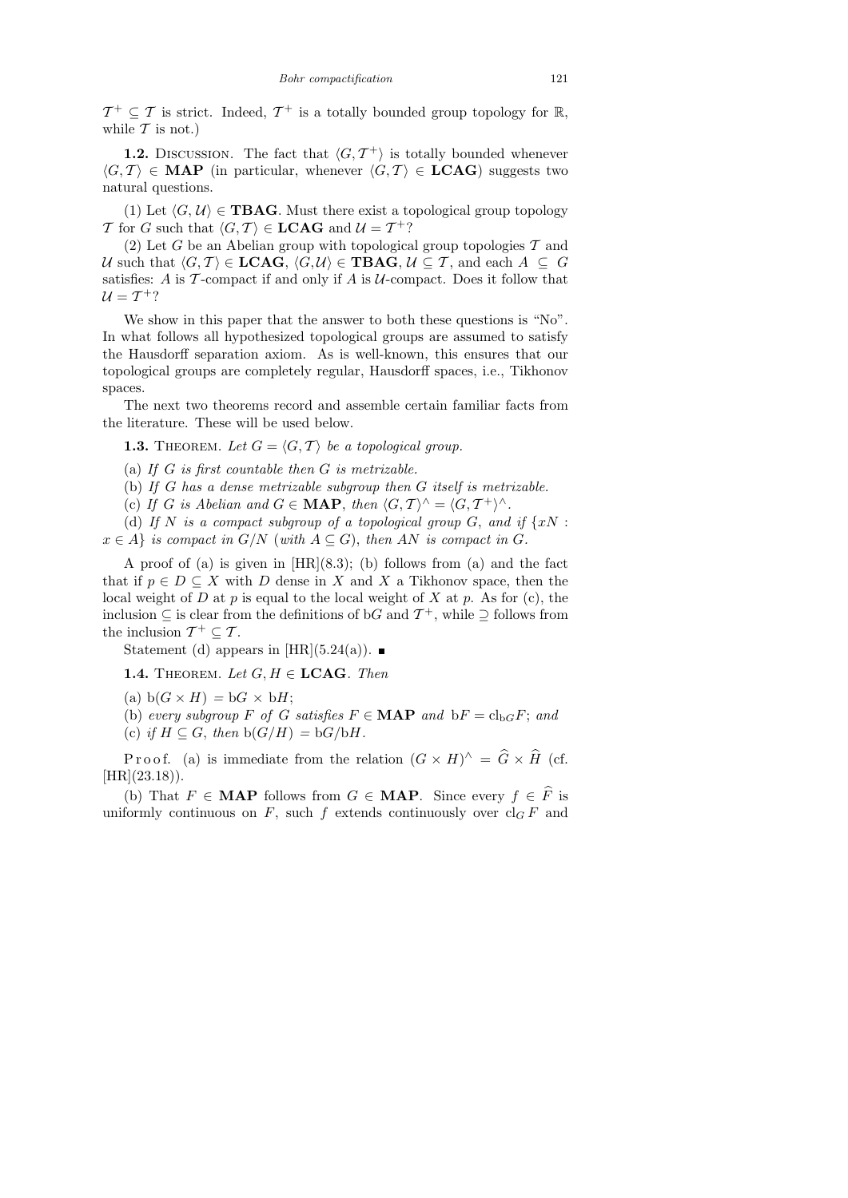$\mathcal{T}^+ \subseteq \mathcal{T}$  is strict. Indeed,  $\mathcal{T}^+$  is a totally bounded group topology for  $\mathbb{R}$ , while  $\mathcal T$  is not.)

**1.2.** DISCUSSION. The fact that  $\langle G, \mathcal{T}^+ \rangle$  is totally bounded whenever  $\langle G, \mathcal{T} \rangle \in \mathbf{MAP}$  (in particular, whenever  $\langle G, \mathcal{T} \rangle \in \mathbf{LCAG}$ ) suggests two natural questions.

(1) Let  $\langle G, U \rangle \in \textbf{TBAG}$ . Must there exist a topological group topology T for G such that  $\langle G, \mathcal{T} \rangle \in \mathbf{LCAG}$  and  $\mathcal{U} = \mathcal{T}^+$ ?

(2) Let G be an Abelian group with topological group topologies  $\mathcal T$  and U such that  $\langle G, \mathcal{T} \rangle \in \textbf{LCAG}, \langle G, \mathcal{U} \rangle \in \textbf{TBAG}, \mathcal{U} \subseteq \mathcal{T}$ , and each  $A \subseteq G$ satisfies: A is  $\mathcal T$ -compact if and only if A is  $\mathcal U$ -compact. Does it follow that  $U = T^{+}$ ?

We show in this paper that the answer to both these questions is "No". In what follows all hypothesized topological groups are assumed to satisfy the Hausdorff separation axiom. As is well-known, this ensures that our topological groups are completely regular, Hausdorff spaces, i.e., Tikhonov spaces.

The next two theorems record and assemble certain familiar facts from the literature. These will be used below.

**1.3.** THEOREM. Let  $G = \langle G, \mathcal{T} \rangle$  be a topological group.

(a) If  $G$  is first countable then  $G$  is metrizable.

- (b) If G has a dense metrizable subgroup then G itself is metrizable.
- (c) If G is Abelian and  $G \in \textbf{MAP}$ , then  $\langle G, \mathcal{T} \rangle^{\wedge} = \langle G, \mathcal{T}^+ \rangle^{\wedge}$ .

(d) If N is a compact subgroup of a topological group  $G$ , and if  $\{xN :$  $x \in A$  is compact in  $G/N$  (with  $A \subseteq G$ ), then AN is compact in G.

A proof of (a) is given in  $[HR](8.3)$ ; (b) follows from (a) and the fact that if  $p \in D \subseteq X$  with D dense in X and X a Tikhonov space, then the local weight of D at p is equal to the local weight of X at p. As for  $(c)$ , the inclusion  $\subseteq$  is clear from the definitions of bG and  $\mathcal{T}^+$ , while  $\supseteq$  follows from the inclusion  $\mathcal{T}^+ \subseteq \mathcal{T}$ .

Statement (d) appears in [HR](5.24(a)).  $\blacksquare$ 

**1.4.** THEOREM. Let  $G, H \in \mathbf{LCAG}$ . Then

(a)  $b(G \times H) = bG \times bH$ ;

(b) every subgroup F of G satisfies  $F \in \textbf{MAP}$  and  $bF = cl_{bG}F$ ; and

(c) if  $H \subseteq G$ , then  $b(G/H) = bG/bH$ .

Proof. (a) is immediate from the relation  $(G \times H)^{\wedge} = \hat{G} \times \hat{H}$  (cf.  $[HR](23.18)$ .

(b) That  $F \in \mathbf{MAP}$  follows from  $G \in \mathbf{MAP}$ . Since every  $f \in \widehat{F}$  is uniformly continuous on  $F$ , such  $f$  extends continuously over  $cl_G F$  and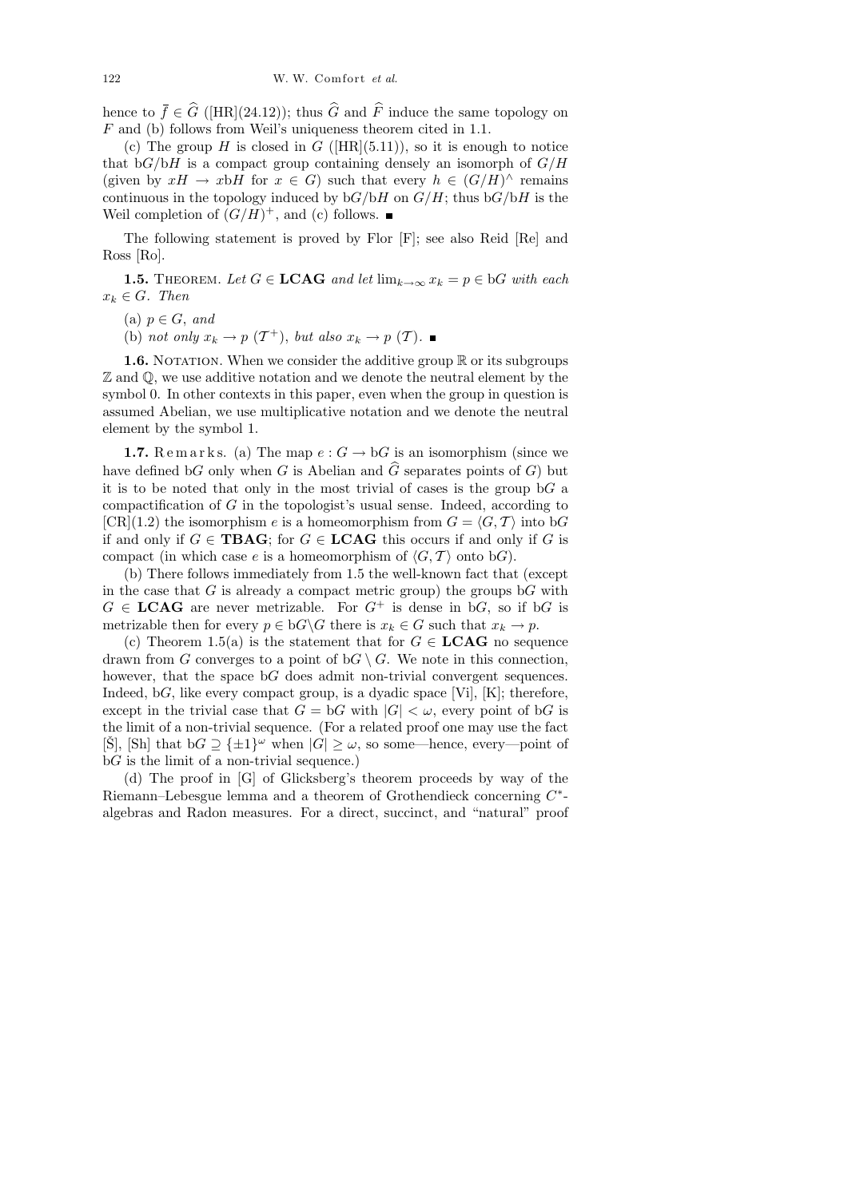hence to  $\bar{f} \in \hat{G}$  ([HR](24.12)); thus  $\hat{G}$  and  $\hat{F}$  induce the same topology on F and (b) follows from Weil's uniqueness theorem cited in 1.1.

(c) The group H is closed in G ( $\text{[HR]}(5.11)$ ), so it is enough to notice that  $bG/bH$  is a compact group containing densely an isomorph of  $G/H$ (given by  $xH \to xbH$  for  $x \in G$ ) such that every  $h \in (G/H)^{\wedge}$  remains continuous in the topology induced by  $bG/bH$  on  $G/H$ ; thus  $bG/bH$  is the Weil completion of  $(G/H)^+$ , and (c) follows.

The following statement is proved by Flor [F]; see also Reid [Re] and Ross [Ro].

**1.5.** THEOREM. Let  $G \in \mathbf{LCAG}$  and let  $\lim_{k \to \infty} x_k = p \in \mathbf{b}G$  with each  $x_k \in G$ . Then

(a)  $p \in G$ , and

(b) not only  $x_k \to p(T^+)$ , but also  $x_k \to p(T)$ .

**1.6.** NOTATION. When we consider the additive group  $\mathbb{R}$  or its subgroups Z and Q, we use additive notation and we denote the neutral element by the symbol 0. In other contexts in this paper, even when the group in question is assumed Abelian, we use multiplicative notation and we denote the neutral element by the symbol 1.

**1.7.** Remarks. (a) The map  $e: G \to bG$  is an isomorphism (since we have defined bG only when G is Abelian and  $\widehat{G}$  separates points of G) but it is to be noted that only in the most trivial of cases is the group  $\mathrm{b}G$  a compactification of G in the topologist's usual sense. Indeed, according to  $[CR](1.2)$  the isomorphism e is a homeomorphism from  $G = \langle G, \mathcal{T} \rangle$  into bG if and only if  $G \in \mathbf{T}BAG$ ; for  $G \in \mathbf{LCAG}$  this occurs if and only if G is compact (in which case e is a homeomorphism of  $\langle G, \mathcal{T} \rangle$  onto bG).

(b) There follows immediately from 1.5 the well-known fact that (except in the case that  $G$  is already a compact metric group) the groups  $bG$  with  $G \in \text{LCAG}$  are never metrizable. For  $G^+$  is dense in b $G$ , so if b $G$  is metrizable then for every  $p \in bG \backslash G$  there is  $x_k \in G$  such that  $x_k \to p$ .

(c) Theorem 1.5(a) is the statement that for  $G \in \mathbf{LCAG}$  no sequence drawn from G converges to a point of  $\mathrm{b}G \setminus G$ . We note in this connection, however, that the space  $bG$  does admit non-trivial convergent sequences. Indeed,  $\alpha$ , like every compact group, is a dyadic space [Vi], [K]; therefore, except in the trivial case that  $G = \mathrm{b}G$  with  $|G| < \omega$ , every point of  $\mathrm{b}G$  is the limit of a non-trivial sequence. (For a related proof one may use the fact  $[\check{S}]$ ,  $[Sh]$  that  $bG \supseteq {\pm 1}^{\omega}$  when  $|\check{G}| \geq \omega$ , so some—hence, every—point of  $\mathrm{b}G$  is the limit of a non-trivial sequence.)

(d) The proof in [G] of Glicksberg's theorem proceeds by way of the Riemann–Lebesgue lemma and a theorem of Grothendieck concerning  $C^*$ algebras and Radon measures. For a direct, succinct, and "natural" proof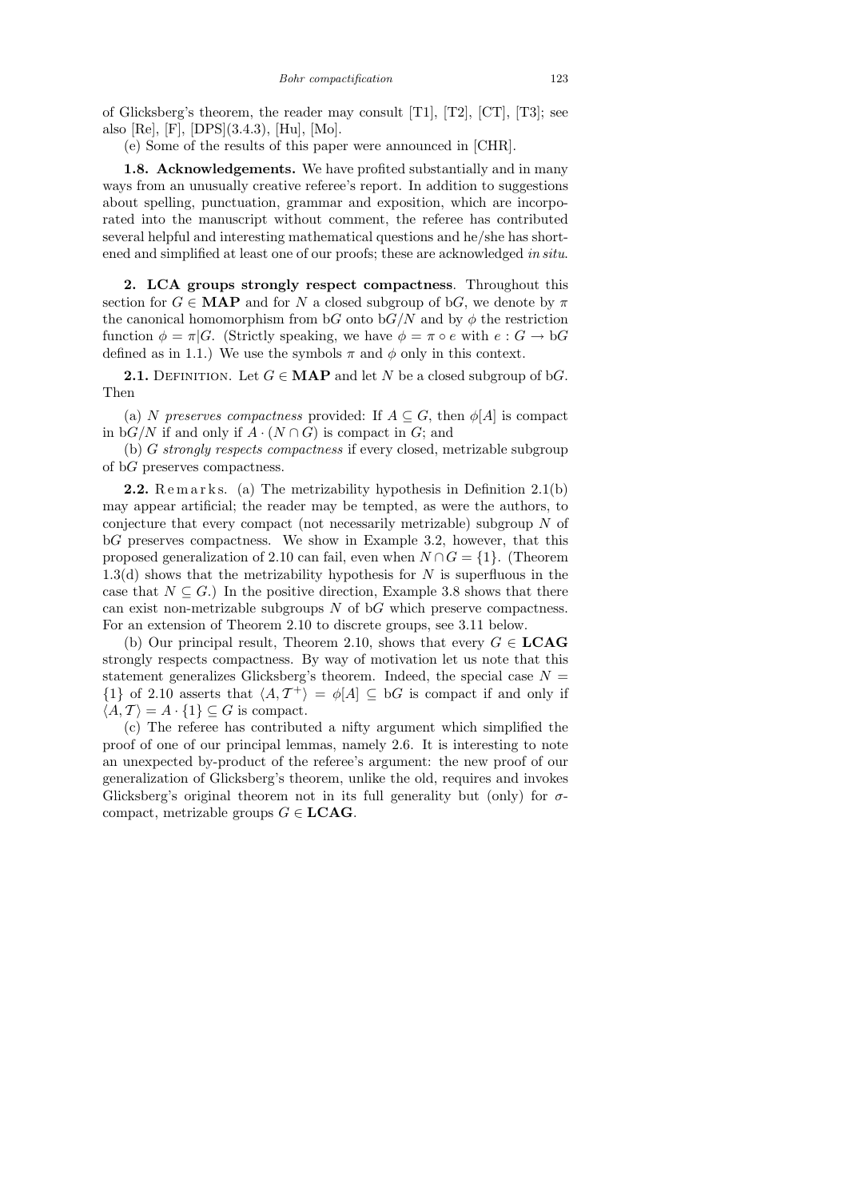of Glicksberg's theorem, the reader may consult [T1], [T2],  $[CT]$ , [T3]; see also [Re], [F], [DPS](3.4.3), [Hu], [Mo].

(e) Some of the results of this paper were announced in [CHR].

1.8. Acknowledgements. We have profited substantially and in many ways from an unusually creative referee's report. In addition to suggestions about spelling, punctuation, grammar and exposition, which are incorporated into the manuscript without comment, the referee has contributed several helpful and interesting mathematical questions and he/she has shortened and simplified at least one of our proofs; these are acknowledged in situ.

2. LCA groups strongly respect compactness. Throughout this section for  $G \in \mathbf{MAP}$  and for N a closed subgroup of bG, we denote by  $\pi$ the canonical homomorphism from bG onto b $G/N$  and by  $\phi$  the restriction function  $\phi = \pi |G$ . (Strictly speaking, we have  $\phi = \pi \circ e$  with  $e : G \to bG$ defined as in 1.1.) We use the symbols  $\pi$  and  $\phi$  only in this context.

**2.1.** DEFINITION. Let  $G \in \textbf{MAP}$  and let N be a closed subgroup of bG. Then

(a) N preserves compactness provided: If  $A \subseteq G$ , then  $\phi[A]$  is compact in  $\mathrm{b}G/N$  if and only if  $A \cdot (N \cap G)$  is compact in G; and

(b) G strongly respects compactness if every closed, metrizable subgroup of bG preserves compactness.

**2.2.** Remarks. (a) The metrizability hypothesis in Definition  $2.1(b)$ may appear artificial; the reader may be tempted, as were the authors, to conjecture that every compact (not necessarily metrizable) subgroup N of bG preserves compactness. We show in Example 3.2, however, that this proposed generalization of 2.10 can fail, even when  $N \cap G = \{1\}$ . (Theorem 1.3(d) shows that the metrizability hypothesis for N is superfluous in the case that  $N \subseteq G$ .) In the positive direction, Example 3.8 shows that there can exist non-metrizable subgroups  $N$  of  $bG$  which preserve compactness. For an extension of Theorem 2.10 to discrete groups, see 3.11 below.

(b) Our principal result, Theorem 2.10, shows that every  $G \in \mathbf{LCAG}$ strongly respects compactness. By way of motivation let us note that this statement generalizes Glicksberg's theorem. Indeed, the special case  $N =$  $\{1\}$  of 2.10 asserts that  $\langle A, T^+\rangle = \phi[A] \subseteq bG$  is compact if and only if  $\langle A, T \rangle = A \cdot \{1\} \subseteq G$  is compact.

(c) The referee has contributed a nifty argument which simplified the proof of one of our principal lemmas, namely 2.6. It is interesting to note an unexpected by-product of the referee's argument: the new proof of our generalization of Glicksberg's theorem, unlike the old, requires and invokes Glicksberg's original theorem not in its full generality but (only) for  $\sigma$ compact, metrizable groups  $G \in \mathbf{LCAG}$ .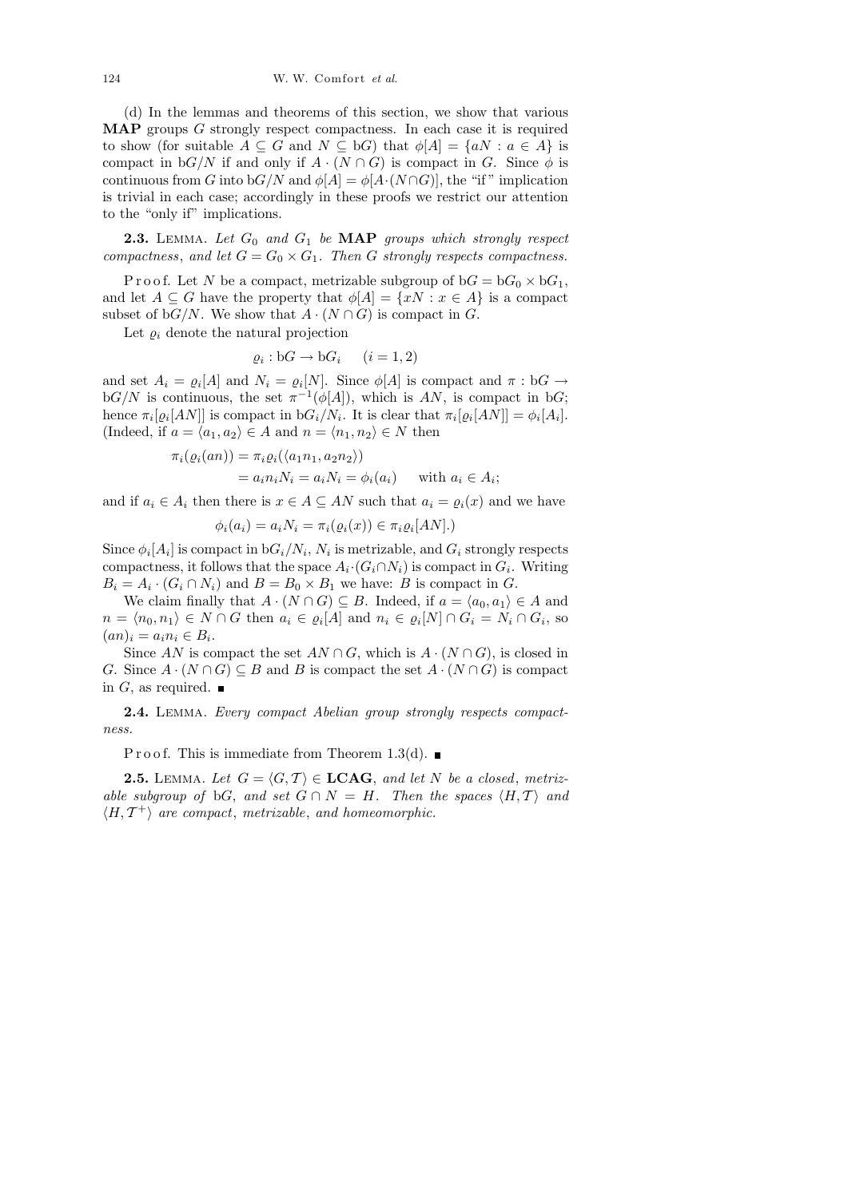(d) In the lemmas and theorems of this section, we show that various MAP groups G strongly respect compactness. In each case it is required to show (for suitable  $A \subseteq G$  and  $N \subseteq bG$ ) that  $\phi[A] = \{aN : a \in A\}$  is compact in  $bG/N$  if and only if  $A \cdot (N \cap G)$  is compact in G. Since  $\phi$  is continuous from G into  $bG/N$  and  $\phi[A] = \phi[A \cdot (N \cap G)]$ , the "if" implication is trivial in each case; accordingly in these proofs we restrict our attention to the "only if" implications.

**2.3.** LEMMA. Let  $G_0$  and  $G_1$  be  $MAP$  groups which strongly respect compactness, and let  $G = G_0 \times G_1$ . Then G strongly respects compactness.

P r o o f. Let N be a compact, metrizable subgroup of  $bG = bG_0 \times bG_1$ , and let  $A \subseteq G$  have the property that  $\phi[A] = \{xN : x \in A\}$  is a compact subset of bG/N. We show that  $A \cdot (N \cap G)$  is compact in G.

Let  $\varrho_i$  denote the natural projection

$$
\varrho_i: \mathbf{b}G \to \mathbf{b}G_i \qquad (i=1,2)
$$

and set  $A_i = \varrho_i[A]$  and  $N_i = \varrho_i[N]$ . Since  $\varphi[A]$  is compact and  $\pi : bG \to$  $bG/N$  is continuous, the set  $\pi^{-1}(\phi[A])$ , which is AN, is compact in bG; hence  $\pi_i[\varrho_i[AN]]$  is compact in  $\mathrm{b}G_i/N_i$ . It is clear that  $\pi_i[\varrho_i[AN]] = \phi_i[A_i]$ . (Indeed, if  $a = \langle a_1, a_2 \rangle \in A$  and  $n = \langle n_1, n_2 \rangle \in N$  then

$$
\pi_i(\varrho_i(an)) = \pi_i\varrho_i(\langle a_1n_1, a_2n_2 \rangle)
$$
  
=  $a_i n_i N_i = a_i N_i = \phi_i(a_i)$  with  $a_i \in A_i$ ;

and if  $a_i \in A_i$  then there is  $x \in A \subseteq AN$  such that  $a_i = \varrho_i(x)$  and we have

$$
\phi_i(a_i) = a_i N_i = \pi_i(\varrho_i(x)) \in \pi_i \varrho_i[AN].
$$

Since  $\phi_i[A_i]$  is compact in  $\mathrm{b}G_i/N_i$ ,  $N_i$  is metrizable, and  $G_i$  strongly respects compactness, it follows that the space  $A_i \cdot (G_i \cap N_i)$  is compact in  $G_i$ . Writing  $B_i = A_i \cdot (G_i \cap N_i)$  and  $B = B_0 \times B_1$  we have: B is compact in G.

We claim finally that  $A \cdot (N \cap G) \subseteq B$ . Indeed, if  $a = \langle a_0, a_1 \rangle \in A$  and  $n = \langle n_0, n_1 \rangle \in N \cap G$  then  $a_i \in \varrho_i[A]$  and  $n_i \in \varrho_i[N] \cap G_i = N_i \cap G_i$ , so  $(an)_i = a_i n_i \in B_i.$ 

Since AN is compact the set  $AN \cap G$ , which is  $A \cdot (N \cap G)$ , is closed in G. Since  $A \cdot (N \cap G) \subseteq B$  and B is compact the set  $A \cdot (N \cap G)$  is compact in G, as required.  $\blacksquare$ 

2.4. LEMMA. Every compact Abelian group strongly respects compactness.

P r o o f. This is immediate from Theorem 1.3(d).  $\blacksquare$ 

**2.5.** LEMMA. Let  $G = \langle G, T \rangle \in \mathbf{LCAG}$ , and let N be a closed, metrizable subgroup of bG, and set  $G \cap N = H$ . Then the spaces  $\langle H, \mathcal{T} \rangle$  and  $\langle H, \mathcal{T}^+ \rangle$  are compact, metrizable, and homeomorphic.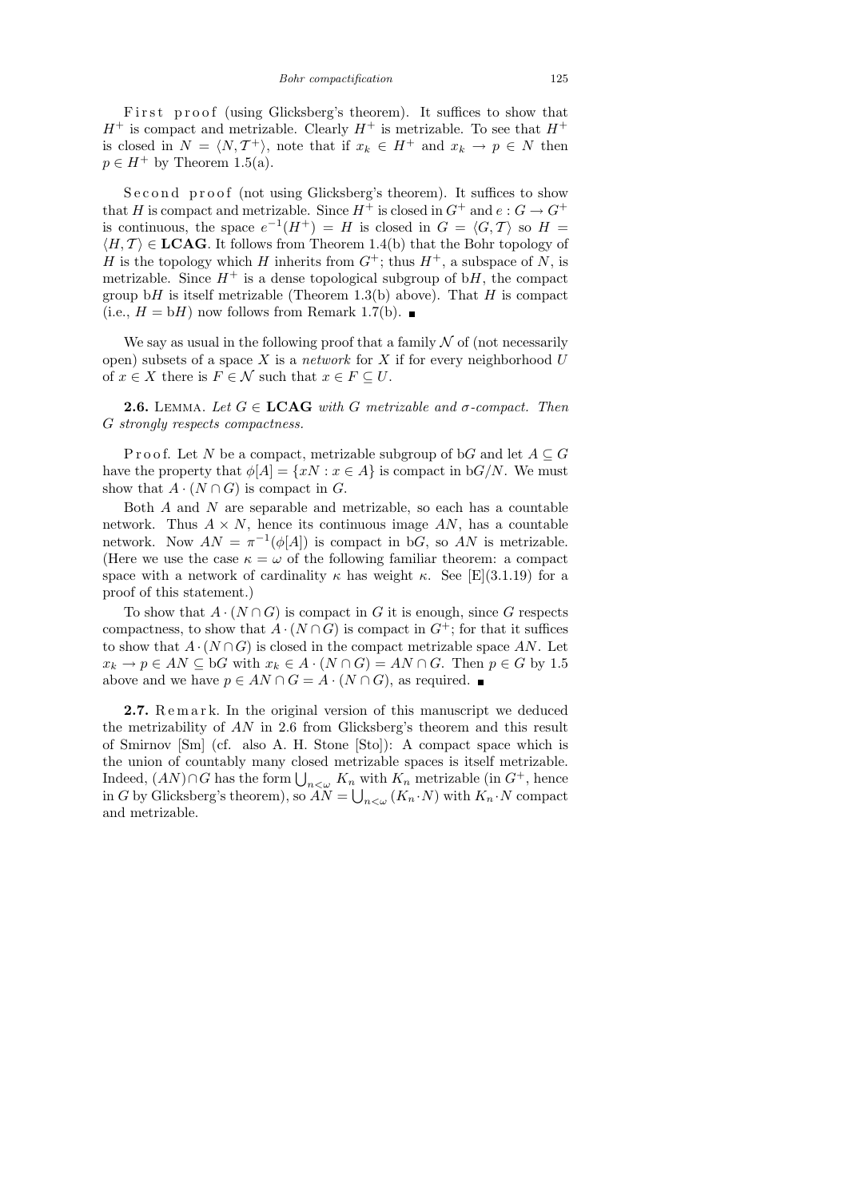First proof (using Glicksberg's theorem). It suffices to show that  $H^+$  is compact and metrizable. Clearly  $H^+$  is metrizable. To see that  $H^+$ is closed in  $N = \langle N, T^{\dagger} \rangle$ , note that if  $x_k \in H^+$  and  $x_k \to p \in N$  then  $p \in H^+$  by Theorem 1.5(a).

Second proof (not using Glicksberg's theorem). It suffices to show that  $H$  is compact and metrizable. Since  $H^+$  is closed in  $G^+$  and  $e: G \to G^+$ is continuous, the space  $e^{-1}(H^+) = H$  is closed in  $G = \langle G, \mathcal{T} \rangle$  so  $H =$  $\langle H, \mathcal{T} \rangle \in \mathbf{LCAG}$ . It follows from Theorem 1.4(b) that the Bohr topology of H is the topology which H inherits from  $G^+$ ; thus  $H^+$ , a subspace of N, is metrizable. Since  $H^+$  is a dense topological subgroup of bH, the compact group bH is itself metrizable (Theorem 1.3(b) above). That H is compact (i.e.,  $H = bH$ ) now follows from Remark 1.7(b).

We say as usual in the following proof that a family  $\mathcal N$  of (not necessarily open) subsets of a space  $X$  is a *network* for  $X$  if for every neighborhood  $U$ of  $x \in X$  there is  $F \in \mathcal{N}$  such that  $x \in F \subseteq U$ .

**2.6.** LEMMA. Let  $G \in \text{LCAG}$  with G metrizable and  $\sigma$ -compact. Then G strongly respects compactness.

P r o o f. Let N be a compact, metrizable subgroup of bG and let  $A \subseteq G$ have the property that  $\phi[A] = \{xN : x \in A\}$  is compact in  $\phi(A)$ . We must show that  $A \cdot (N \cap G)$  is compact in G.

Both  $A$  and  $N$  are separable and metrizable, so each has a countable network. Thus  $A \times N$ , hence its continuous image AN, has a countable network. Now  $AN = \pi^{-1}(\phi[A])$  is compact in bG, so AN is metrizable. (Here we use the case  $\kappa = \omega$  of the following familiar theorem: a compact space with a network of cardinality  $\kappa$  has weight  $\kappa$ . See [E](3.1.19) for a proof of this statement.)

To show that  $A \cdot (N \cap G)$  is compact in G it is enough, since G respects compactness, to show that  $A \cdot (N \cap G)$  is compact in  $G^+$ ; for that it suffices to show that  $A \cdot (N \cap G)$  is closed in the compact metrizable space AN. Let  $x_k \to p \in AN \subseteq bG$  with  $x_k \in A \cdot (N \cap G) = AN \cap G$ . Then  $p \in G$  by 1.5 above and we have  $p \in AN \cap G = A \cdot (N \cap G)$ , as required. ■

**2.7.** Remark. In the original version of this manuscript we deduced the metrizability of AN in 2.6 from Glicksberg's theorem and this result of Smirnov [Sm] (cf. also A. H. Stone [Sto]): A compact space which is the union of countably many closed metrizable spaces is itself metrizable. Indeed,  $(AN) \cap G$  has the form  $\bigcup_{n<\omega} K_n$  with  $K_n$  metrizable (in  $G^+$ , hence in G by Glicksberg's theorem), so  $AN = \bigcup_{n<\omega} (K_n \cdot N)$  with  $K_n \cdot N$  compact and metrizable.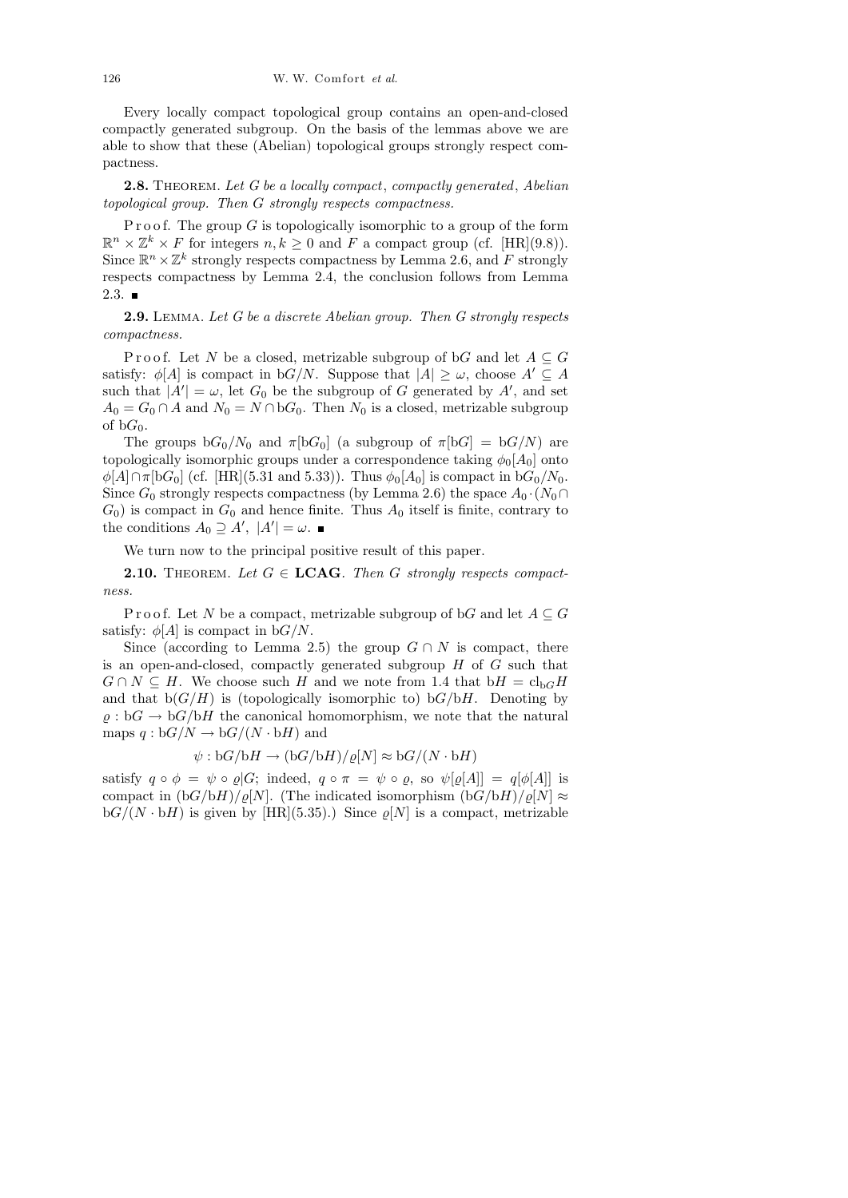Every locally compact topological group contains an open-and-closed compactly generated subgroup. On the basis of the lemmas above we are able to show that these (Abelian) topological groups strongly respect compactness.

2.8. THEOREM. Let G be a locally compact, compactly generated, Abelian topological group. Then G strongly respects compactness.

P r o o f. The group  $G$  is topologically isomorphic to a group of the form  $\mathbb{R}^n \times \mathbb{Z}^k \times F$  for integers  $n, k \geq 0$  and F a compact group (cf. [HR](9.8)). Since  $\mathbb{R}^n \times \mathbb{Z}^k$  strongly respects compactness by Lemma 2.6, and F strongly respects compactness by Lemma 2.4, the conclusion follows from Lemma  $2.3.$  ■

2.9. Lemma. Let G be a discrete Abelian group. Then G strongly respects compactness.

Proof. Let N be a closed, metrizable subgroup of bG and let  $A \subseteq G$ satisfy:  $\phi[A]$  is compact in bG/N. Suppose that  $|A| \geq \omega$ , choose  $A' \subseteq A$ such that  $|A'| = \omega$ , let  $G_0$  be the subgroup of G generated by A', and set  $A_0 = G_0 \cap A$  and  $N_0 = N \cap bG_0$ . Then  $N_0$  is a closed, metrizable subgroup of  $bG_0$ .

The groups  $bG_0/N_0$  and  $\pi[bG_0]$  (a subgroup of  $\pi[bG] = bG/N$ ) are topologically isomorphic groups under a correspondence taking  $\phi_0[A_0]$  onto  $\phi[A] \cap \pi[\mathrm{b}G_0]$  (cf. [HR](5.31 and 5.33)). Thus  $\phi_0[A_0]$  is compact in  $\mathrm{b}G_0/N_0$ . Since  $G_0$  strongly respects compactness (by Lemma 2.6) the space  $A_0 \cdot (N_0 \cap$  $G_0$ ) is compact in  $G_0$  and hence finite. Thus  $A_0$  itself is finite, contrary to the conditions  $A_0 \supseteq A', |A'| = \omega$ .

We turn now to the principal positive result of this paper.

**2.10.** THEOREM. Let  $G \in \text{LCAG}$ . Then G strongly respects compactness.

P r o o f. Let N be a compact, metrizable subgroup of bG and let  $A \subseteq G$ satisfy:  $\phi[A]$  is compact in  $\phi(A)$ .

Since (according to Lemma 2.5) the group  $G \cap N$  is compact, there is an open-and-closed, compactly generated subgroup  $H$  of  $G$  such that  $G \cap N \subseteq H$ . We choose such H and we note from 1.4 that  $bH = cl_{bG}H$ and that  $b(G/H)$  is (topologically isomorphic to)  $bG/bH$ . Denoting by  $\varrho : bG \to bG/bH$  the canonical homomorphism, we note that the natural maps  $q : bG/N \to bG/(N \cdot bH)$  and

$$
\psi : \mathbf{b}G/\mathbf{b}H \to (\mathbf{b}G/\mathbf{b}H)/\varrho[N] \approx \mathbf{b}G/(N \cdot \mathbf{b}H)
$$

satisfy  $q \circ \phi = \psi \circ \varrho | G;$  indeed,  $q \circ \pi = \psi \circ \varrho$ , so  $\psi[\varrho[A]] = q[\phi[A]]$  is compact in  $(bG/bH)/\varrho[N]$ . (The indicated isomorphism  $(bG/bH)/\varrho[N] \approx$  $\mathrm{b}G/(N \cdot \mathrm{b}H)$  is given by [HR](5.35).) Since  $\varrho[N]$  is a compact, metrizable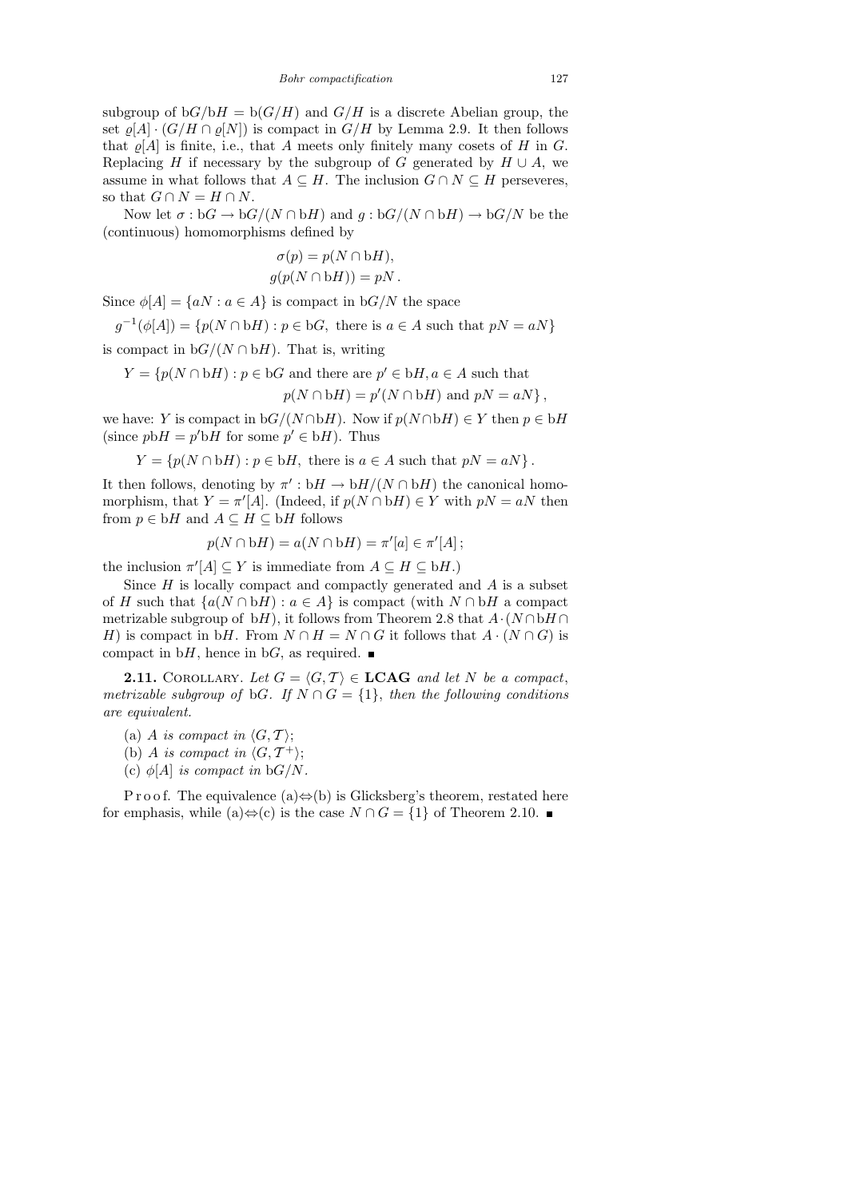subgroup of  $bG/bH = b(G/H)$  and  $G/H$  is a discrete Abelian group, the set  $\varrho[A] \cdot (G/H \cap \varrho[N])$  is compact in  $G/H$  by Lemma 2.9. It then follows that  $\rho[A]$  is finite, i.e., that A meets only finitely many cosets of H in G. Replacing H if necessary by the subgroup of G generated by  $H \cup A$ , we assume in what follows that  $A \subseteq H$ . The inclusion  $G \cap N \subseteq H$  perseveres, so that  $G \cap N = H \cap N$ .

Now let  $\sigma : \mathrm{b}G \to \mathrm{b}G/(N \cap \mathrm{b}H)$  and  $g : \mathrm{b}G/(N \cap \mathrm{b}H) \to \mathrm{b}G/N$  be the (continuous) homomorphisms defined by

$$
\sigma(p) = p(N \cap bH),
$$
  
 
$$
g(p(N \cap bH)) = pN.
$$

Since  $\phi[A] = \{aN : a \in A\}$  is compact in  $bG/N$  the space

 $g^{-1}(\phi[A]) = \{p(N \cap bH) : p \in bG, \text{ there is } a \in A \text{ such that } pN = aN\}$ is compact in  $bG/(N \cap bH)$ . That is, writing

$$
Y = \{p(N \cap bH) : p \in bG \text{ and there are } p' \in bH, a \in A \text{ such that }
$$

$$
p(N \cap bH) = p'(N \cap bH)
$$
 and  $pN = aN$ ,

we have: Y is compact in  $bG/(N \cap bH)$ . Now if  $p(N \cap bH) \in Y$  then  $p \in bH$ (since  $pbH = p'bH$  for some  $p' \in bH$ ). Thus

$$
Y = \{p(N \cap bH) : p \in bH, \text{ there is } a \in A \text{ such that } pN = aN\}.
$$

It then follows, denoting by  $\pi': bH \to bH/(N \cap bH)$  the canonical homomorphism, that  $Y = \pi'[A]$ . (Indeed, if  $p(N \cap bH) \in Y$  with  $pN = aN$  then from  $p \in bH$  and  $A \subseteq H \subseteq bH$  follows

$$
p(N \cap bH) = a(N \cap bH) = \pi'[a] \in \pi'[A];
$$

the inclusion  $\pi'[A] \subseteq Y$  is immediate from  $A \subseteq H \subseteq bH$ .)

Since  $H$  is locally compact and compactly generated and  $A$  is a subset of H such that  $\{a(N \cap bH) : a \in A\}$  is compact (with  $N \cap bH$  a compact metrizable subgroup of bH), it follows from Theorem 2.8 that  $A \cdot (N \cap bH \cap$ H) is compact in bH. From  $N \cap H = N \cap G$  it follows that  $A \cdot (N \cap G)$  is compact in bH, hence in bG, as required.  $\blacksquare$ 

**2.11.** COROLLARY. Let  $G = \langle G, \mathcal{T} \rangle \in \mathbf{LCAG}$  and let N be a compact, metrizable subgroup of bG. If  $N \cap G = \{1\}$ , then the following conditions are equivalent.

- (a) A is compact in  $\langle G, \mathcal{T} \rangle;$
- (b) A is compact in  $\langle G, \mathcal{T}^+ \rangle;$
- (c)  $\phi[A]$  is compact in  $\phi(A)$ .

P r o o f. The equivalence (a) $\Leftrightarrow$ (b) is Glicksberg's theorem, restated here for emphasis, while (a) $\Leftrightarrow$  (c) is the case  $N \cap G = \{1\}$  of Theorem 2.10. ■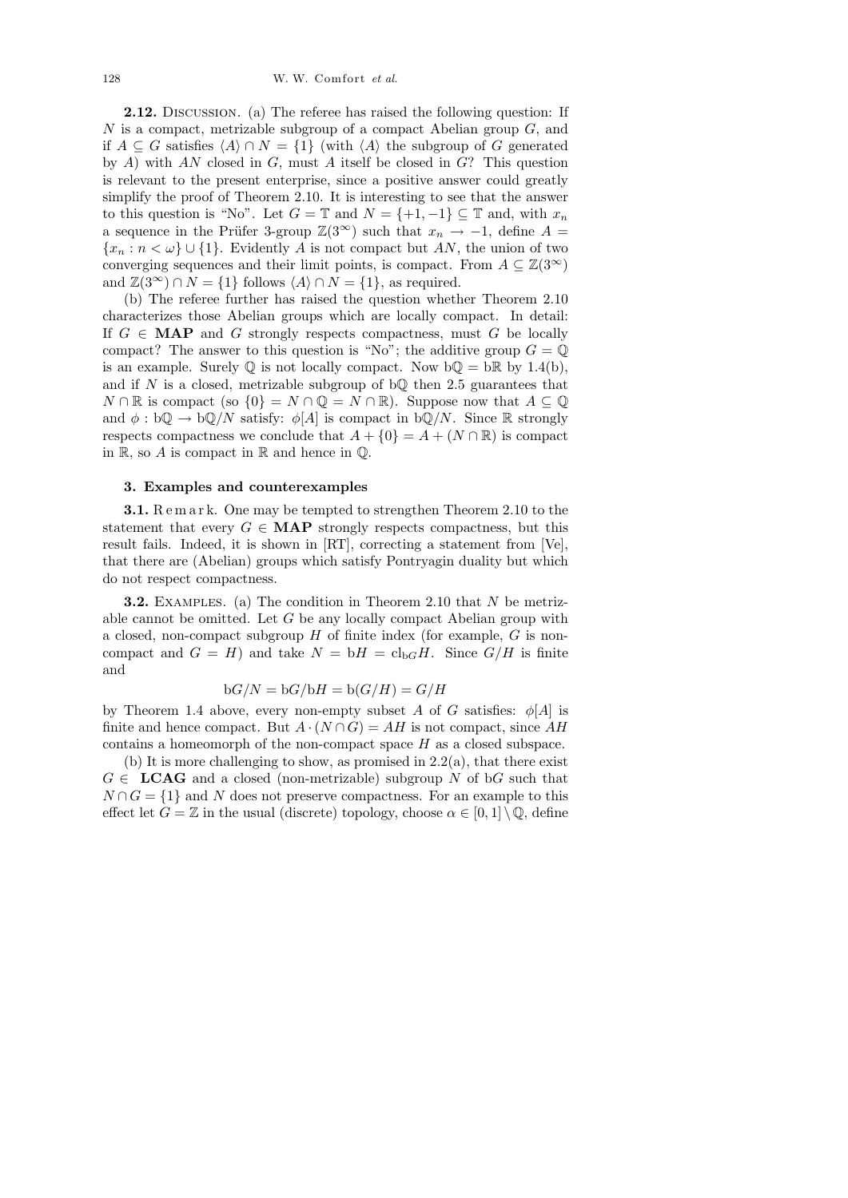2.12. Discussion. (a) The referee has raised the following question: If  $N$  is a compact, metrizable subgroup of a compact Abelian group  $G$ , and if  $A \subseteq G$  satisfies  $\langle A \rangle \cap N = \{1\}$  (with  $\langle A \rangle$  the subgroup of G generated by A) with AN closed in  $G$ , must A itself be closed in  $G$ ? This question is relevant to the present enterprise, since a positive answer could greatly simplify the proof of Theorem 2.10. It is interesting to see that the answer to this question is "No". Let  $G = \mathbb{T}$  and  $N = \{+1, -1\} \subseteq \mathbb{T}$  and, with  $x_n$ a sequence in the Prüfer 3-group  $\mathbb{Z}(3^{\infty})$  such that  $x_n \to -1$ , define  $A =$  ${x_n : n < \omega} \cup \{1\}$ . Evidently A is not compact but AN, the union of two converging sequences and their limit points, is compact. From  $A \subseteq \mathbb{Z}(3^{\infty})$ and  $\mathbb{Z}(3^{\infty}) \cap N = \{1\}$  follows  $\langle A \rangle \cap N = \{1\}$ , as required.

(b) The referee further has raised the question whether Theorem 2.10 characterizes those Abelian groups which are locally compact. In detail: If  $G \in \textbf{MAP}$  and G strongly respects compactness, must G be locally compact? The answer to this question is "No"; the additive group  $G = \mathbb{Q}$ is an example. Surely  $\mathbb Q$  is not locally compact. Now  $\mathfrak b \mathbb Q = \mathfrak b \mathbb R$  by 1.4(b), and if  $N$  is a closed, metrizable subgroup of  $b\mathbb{Q}$  then 2.5 guarantees that  $N \cap \mathbb{R}$  is compact (so  $\{0\} = N \cap \mathbb{Q} = N \cap \mathbb{R}$ ). Suppose now that  $A \subseteq \mathbb{Q}$ and  $\phi : b\mathbb{Q} \to b\mathbb{Q}/N$  satisfy:  $\phi[A]$  is compact in  $b\mathbb{Q}/N$ . Since R strongly respects compactness we conclude that  $A + \{0\} = A + (N \cap \mathbb{R})$  is compact in  $\mathbb{R}$ , so A is compact in  $\mathbb{R}$  and hence in  $\mathbb{Q}$ .

### 3. Examples and counterexamples

**3.1.** Remark. One may be tempted to strengthen Theorem 2.10 to the statement that every  $G \in \mathbf{MAP}$  strongly respects compactness, but this result fails. Indeed, it is shown in [RT], correcting a statement from [Ve], that there are (Abelian) groups which satisfy Pontryagin duality but which do not respect compactness.

**3.2.** EXAMPLES. (a) The condition in Theorem 2.10 that N be metrizable cannot be omitted. Let  $G$  be any locally compact Abelian group with a closed, non-compact subgroup  $H$  of finite index (for example,  $G$  is noncompact and  $G = H$ ) and take  $N = bH = cl_{bG}H$ . Since  $G/H$  is finite and

$$
bG/N = bG/bH = b(G/H) = G/H
$$

by Theorem 1.4 above, every non-empty subset A of G satisfies:  $\phi[A]$  is finite and hence compact. But  $A \cdot (N \cap G) = AH$  is not compact, since AH contains a homeomorph of the non-compact space H as a closed subspace.

(b) It is more challenging to show, as promised in  $2.2(a)$ , that there exist  $G \in \text{LCAG}$  and a closed (non-metrizable) subgroup N of bG such that  $N \cap G = \{1\}$  and N does not preserve compactness. For an example to this effect let  $G = \mathbb{Z}$  in the usual (discrete) topology, choose  $\alpha \in [0,1] \setminus \mathbb{Q}$ , define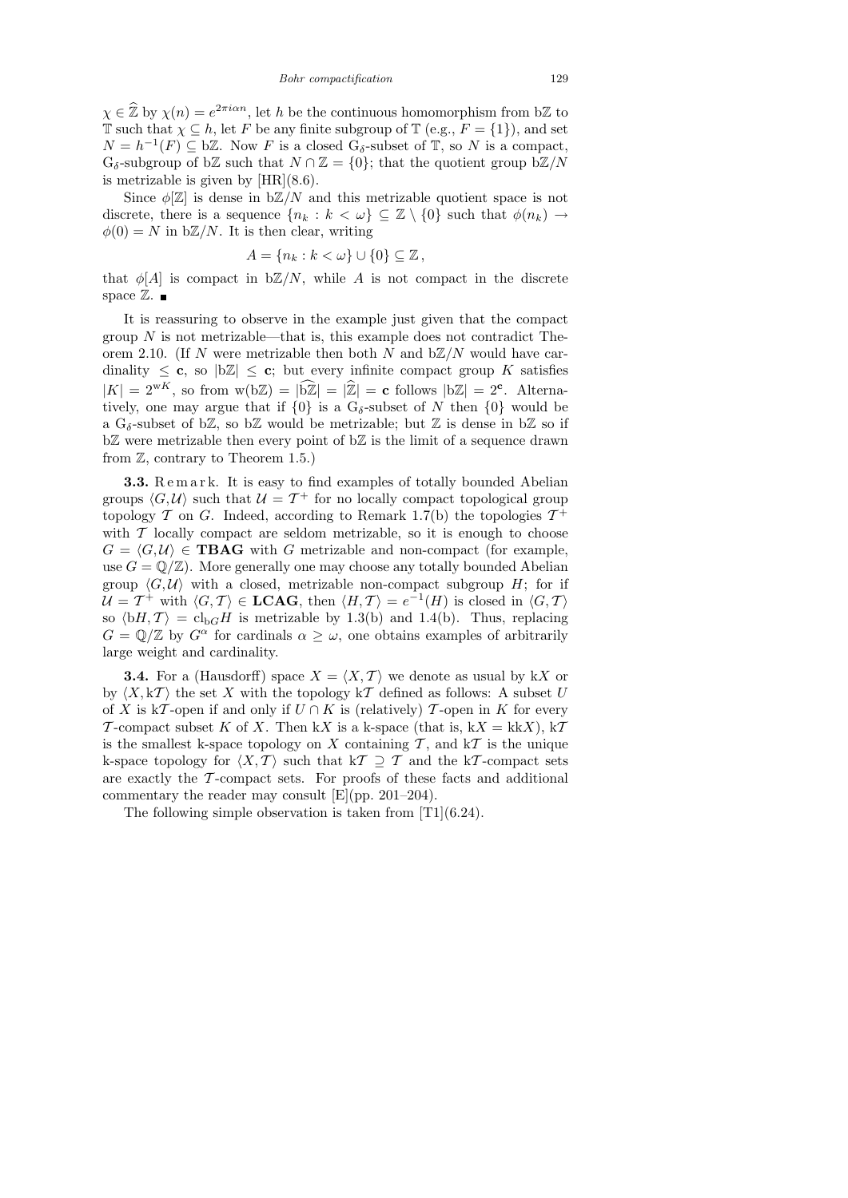$\chi \in \hat{\mathbb{Z}}$  by  $\chi(n) = e^{2\pi i \alpha n}$ , let h be the continuous homomorphism from b $\mathbb{Z}$  to T such that  $\chi \subseteq h$ , let F be any finite subgroup of T (e.g.,  $F = \{1\}$ ), and set  $N = h^{-1}(F) \subseteq b\mathbb{Z}$ . Now F is a closed  $G_{\delta}$ -subset of  $\mathbb{T}$ , so N is a compact,  $G_{\delta}$ -subgroup of bZ such that  $N \cap \mathbb{Z} = \{0\}$ ; that the quotient group bZ/N is metrizable is given by  $[HR](8.6)$ .

Since  $\phi[\mathbb{Z}]$  is dense in  $b\mathbb{Z}/N$  and this metrizable quotient space is not discrete, there is a sequence  $\{n_k : k < \omega\} \subseteq \mathbb{Z} \setminus \{0\}$  such that  $\phi(n_k) \to$  $\phi(0) = N$  in  $b\mathbb{Z}/N$ . It is then clear, writing

$$
A = \{n_k : k < \omega\} \cup \{0\} \subseteq \mathbb{Z},
$$

that  $\phi[A]$  is compact in  $b\mathbb{Z}/N$ , while A is not compact in the discrete space  $\mathbb{Z}$ .

It is reassuring to observe in the example just given that the compact group  $N$  is not metrizable—that is, this example does not contradict Theorem 2.10. (If N were metrizable then both N and  $b\mathbb{Z}/N$  would have cardinality  $\leq$  c, so  $|b\mathbb{Z}| \leq c$ ; but every infinite compact group K satisfies  $|K| = 2^{wK}$ , so from  $w(b\mathbb{Z}) = |\mathbb{Z}| = |\mathbb{Z}| = c$  follows  $|b\mathbb{Z}| = 2^c$ . Alternatively, one may argue that if  $\{0\}$  is a  $G_{\delta}$ -subset of N then  $\{0\}$  would be a G<sub>δ</sub>-subset of b $\mathbb{Z}$ , so b $\mathbb{Z}$  would be metrizable; but  $\mathbb{Z}$  is dense in b $\mathbb{Z}$  so if  $b\mathbb{Z}$  were metrizable then every point of  $b\mathbb{Z}$  is the limit of a sequence drawn from  $\mathbb{Z}$ , contrary to Theorem 1.5.)

3.3. Remark. It is easy to find examples of totally bounded Abelian groups  $\langle G, U \rangle$  such that  $U = T^+$  for no locally compact topological group topology  $\mathcal T$  on  $G$ . Indeed, according to Remark 1.7(b) the topologies  $\mathcal T^+$ with  $\mathcal T$  locally compact are seldom metrizable, so it is enough to choose  $G = \langle G, U \rangle \in \textbf{TBAG}$  with G metrizable and non-compact (for example, use  $G = \mathbb{Q}/\mathbb{Z}$ . More generally one may choose any totally bounded Abelian group  $\langle G, U \rangle$  with a closed, metrizable non-compact subgroup H; for if  $\mathcal{U} = \mathcal{T}^+$  with  $\langle G, \mathcal{T} \rangle \in \mathbf{LCAG}$ , then  $\langle H, \mathcal{T} \rangle = e^{-1}(H)$  is closed in  $\langle G, \mathcal{T} \rangle$ so  $\langle bH, T \rangle = c l_{b}H$  is metrizable by 1.3(b) and 1.4(b). Thus, replacing  $G = \mathbb{Q}/\mathbb{Z}$  by  $G^{\alpha}$  for cardinals  $\alpha \geq \omega$ , one obtains examples of arbitrarily large weight and cardinality.

**3.4.** For a (Hausdorff) space  $X = \langle X, \mathcal{T} \rangle$  we denote as usual by kX or by  $\langle X, kT \rangle$  the set X with the topology kT defined as follows: A subset U of X is kT-open if and only if  $U \cap K$  is (relatively) T-open in K for every T-compact subset K of X. Then kX is a k-space (that is,  $kX = kkX$ ),  $kT$ is the smallest k-space topology on X containing  $\mathcal T$ , and  $k\mathcal T$  is the unique k-space topology for  $\langle X, \mathcal{T} \rangle$  such that  $k\mathcal{T} \supseteq \mathcal{T}$  and the kT-compact sets are exactly the  $\mathcal T$ -compact sets. For proofs of these facts and additional commentary the reader may consult [E](pp. 201–204).

The following simple observation is taken from [T1](6.24).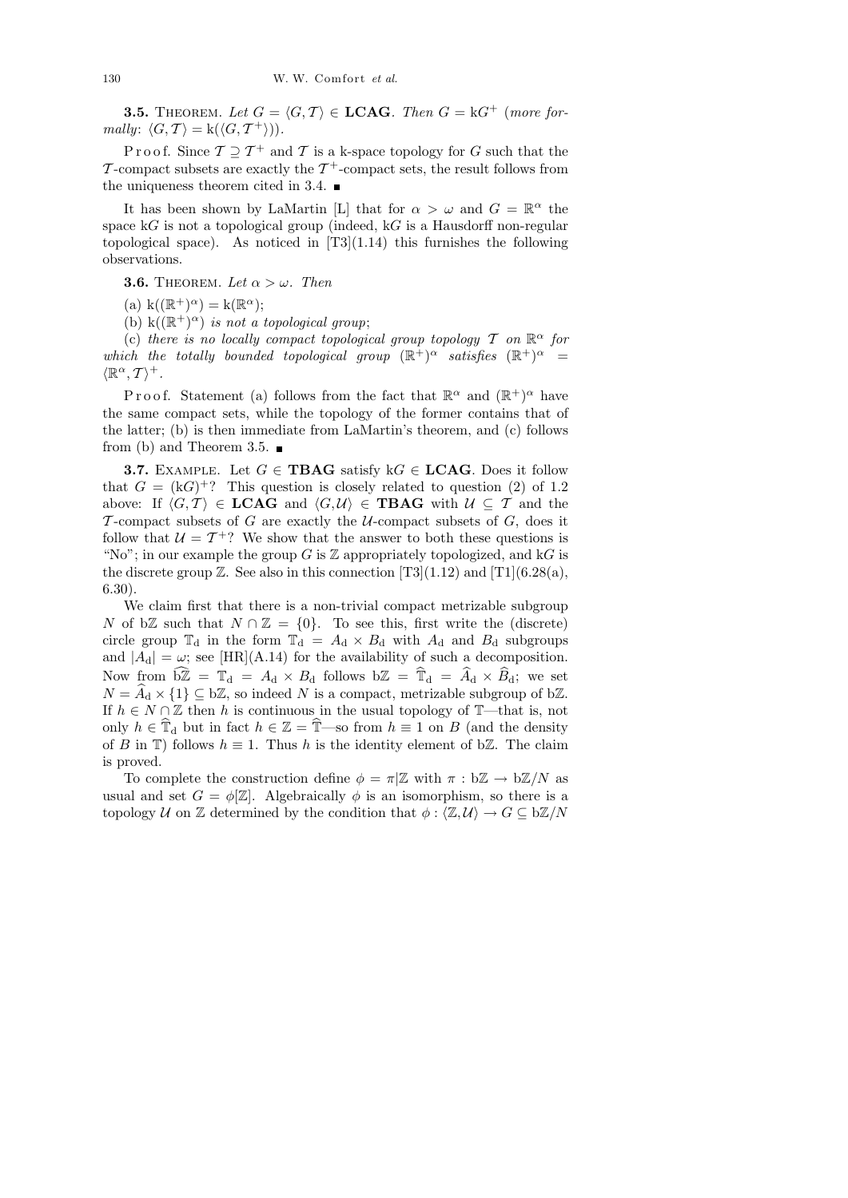**3.5.** THEOREM. Let  $G = \langle G, T \rangle \in \textbf{LCAG}$ . Then  $G = kG^+$  (more formally:  $\langle G, \mathcal{T} \rangle = k(\langle G, \mathcal{T}^+ \rangle)).$ 

P r o o f. Since  $\mathcal{T} \supseteq \mathcal{T}^+$  and  $\mathcal{T}$  is a k-space topology for  $G$  such that the T-compact subsets are exactly the  $T^+$ -compact sets, the result follows from the uniqueness theorem cited in 3.4.  $\blacksquare$ 

It has been shown by LaMartin [L] that for  $\alpha > \omega$  and  $G = \mathbb{R}^{\alpha}$  the space  $kG$  is not a topological group (indeed,  $kG$  is a Hausdorff non-regular topological space). As noticed in  $[T3](1.14)$  this furnishes the following observations.

**3.6.** THEOREM. Let  $\alpha > \omega$ . Then

(a)  $k((\mathbb{R}^+)^{\alpha}) = k(\mathbb{R}^{\alpha});$ 

(b)  $k((\mathbb{R}^+)^{\alpha})$  is not a topological group;

(c) there is no locally compact topological group topology  $\mathcal T$  on  $\mathbb R^\alpha$  for which the totally bounded topological group  $(\mathbb{R}^+)^{\alpha}$  satisfies  $(\mathbb{R}^+)^{\alpha}$  =  $\langle \mathbb{R}^\alpha, \mathcal{T} \rangle^+$ .

Proof. Statement (a) follows from the fact that  $\mathbb{R}^{\alpha}$  and  $(\mathbb{R}^+)^{\alpha}$  have the same compact sets, while the topology of the former contains that of the latter; (b) is then immediate from LaMartin's theorem, and (c) follows from (b) and Theorem 3.5.  $\blacksquare$ 

**3.7.** EXAMPLE. Let  $G \in \text{TBAG}$  satisfy  $kG \in \text{LCAG}$ . Does it follow that  $G = (kG)^{+}$ ? This question is closely related to question (2) of 1.2 above: If  $\langle G, \mathcal{T} \rangle \in \mathbf{LCAG}$  and  $\langle G, \mathcal{U} \rangle \in \mathbf{TBAG}$  with  $\mathcal{U} \subseteq \mathcal{T}$  and the T-compact subsets of G are exactly the  $U$ -compact subsets of G, does it follow that  $U = T^+$ ? We show that the answer to both these questions is "No"; in our example the group G is  $\mathbb Z$  appropriately topologized, and kG is the discrete group  $\mathbb{Z}$ . See also in this connection [T3](1.12) and [T1](6.28(a), 6.30).

We claim first that there is a non-trivial compact metrizable subgroup N of bZ such that  $N \cap \mathbb{Z} = \{0\}$ . To see this, first write the (discrete) circle group  $\mathbb{T}_d$  in the form  $\mathbb{T}_d = A_d \times B_d$  with  $A_d$  and  $B_d$  subgroups and  $|A_d| = \omega$ ; see [HR](A.14) for the availability of such a decomposition. Now from  $\widehat{bZ} = \mathbb{T}_d = A_d \times B_d$  follows  $bZ = \widehat{\mathbb{T}}_d = \widehat{A}_d \times \widehat{B}_d$ ; we set  $N = \widehat{A}_d \times \{1\} \subseteq b\mathbb{Z}$ , so indeed N is a compact, metrizable subgroup of bZ. If  $h \in N \cap \mathbb{Z}$  then h is continuous in the usual topology of T—that is, not only  $h \in \mathbb{T}_d$  but in fact  $h \in \mathbb{Z} = \mathbb{T}$ —so from  $h \equiv 1$  on B (and the density of B in T) follows  $h \equiv 1$ . Thus h is the identity element of bZ. The claim is proved.

To complete the construction define  $\phi = \pi | \mathbb{Z}$  with  $\pi : b\mathbb{Z} \to b\mathbb{Z}/N$  as usual and set  $G = \phi[\mathbb{Z}]$ . Algebraically  $\phi$  is an isomorphism, so there is a topology U on Z determined by the condition that  $\phi : \langle \mathbb{Z}, \mathcal{U} \rangle \to G \subseteq b\mathbb{Z}/N$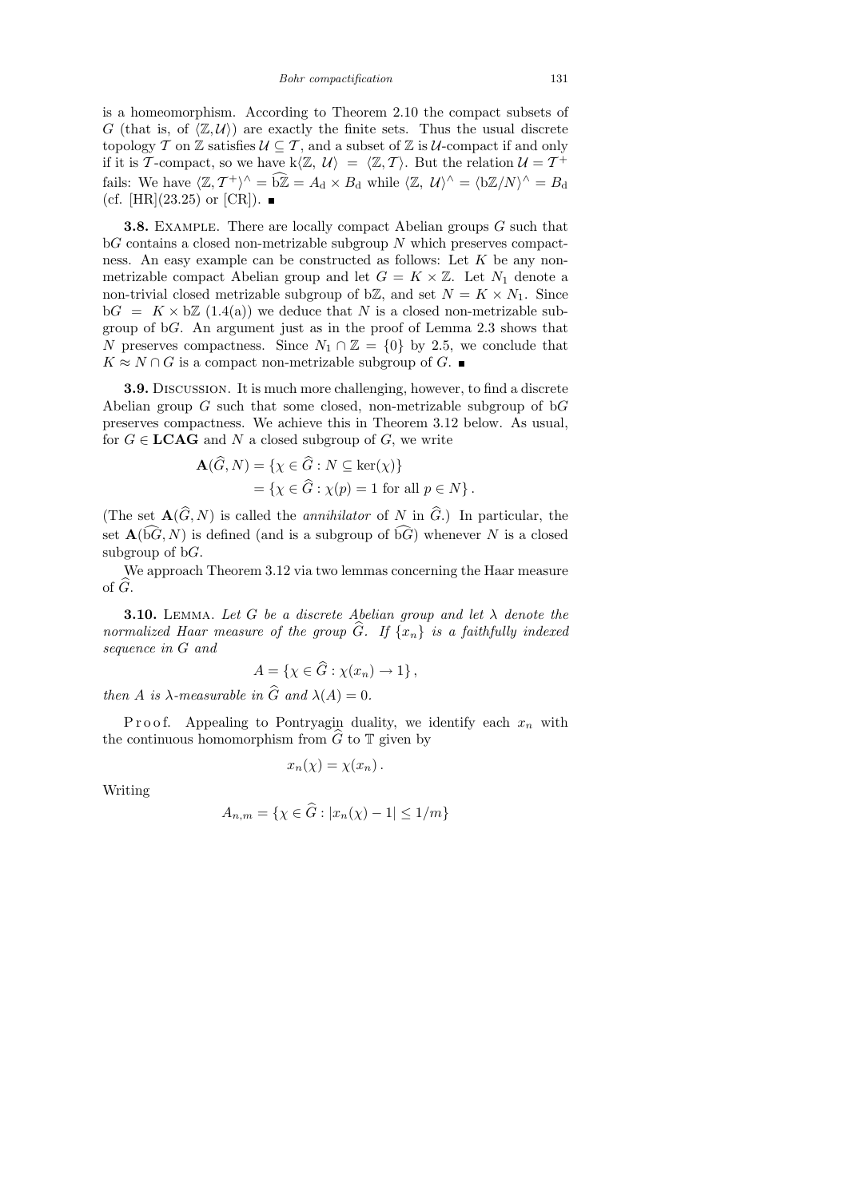is a homeomorphism. According to Theorem 2.10 the compact subsets of G (that is, of  $\langle \mathbb{Z}, \mathcal{U} \rangle$ ) are exactly the finite sets. Thus the usual discrete topology T on Z satisfies  $\mathcal{U} \subseteq \mathcal{T}$ , and a subset of Z is  $\mathcal{U}$ -compact if and only if it is T-compact, so we have  $k\langle \mathbb{Z}, \mathcal{U} \rangle = \langle \mathbb{Z}, \mathcal{T} \rangle$ . But the relation  $\mathcal{U} = \mathcal{T}^+$ fails: We have  $\langle \mathbb{Z}, \mathcal{T}^+ \rangle^{\wedge} = \widehat{bZ} = A_d \times B_d$  while  $\langle \mathbb{Z}, \mathcal{U} \rangle^{\wedge} = \langle b\mathbb{Z}/N \rangle^{\wedge} = B_d$ (cf. [HR](23.25) or [CR]).  $\blacksquare$ 

3.8. Example. There are locally compact Abelian groups G such that  $\mathrm{b}G$  contains a closed non-metrizable subgroup N which preserves compactness. An easy example can be constructed as follows: Let  $K$  be any nonmetrizable compact Abelian group and let  $G = K \times \mathbb{Z}$ . Let  $N_1$  denote a non-trivial closed metrizable subgroup of b $\mathbb{Z}$ , and set  $N = K \times N_1$ . Since  $\Delta G = K \times \Delta Z$  (1.4(a)) we deduce that N is a closed non-metrizable subgroup of bG. An argument just as in the proof of Lemma 2.3 shows that N preserves compactness. Since  $N_1 \cap \mathbb{Z} = \{0\}$  by 2.5, we conclude that  $K \approx N \cap G$  is a compact non-metrizable subgroup of G.

3.9. Discussion. It is much more challenging, however, to find a discrete Abelian group  $G$  such that some closed, non-metrizable subgroup of b $G$ preserves compactness. We achieve this in Theorem 3.12 below. As usual, for  $G \in \mathbf{LCAG}$  and N a closed subgroup of G, we write

$$
\mathbf{A}(\widehat{G}, N) = \{ \chi \in \widehat{G} : N \subseteq \ker(\chi) \}
$$
  
=  $\{ \chi \in \widehat{G} : \chi(p) = 1 \text{ for all } p \in N \}.$ 

(The set  $\mathbf{A}(\widehat{G}, N)$  is called the *annihilator* of N in  $\widehat{G}$ .) In particular, the set  $\mathbf{A}(\widehat{bG}, N)$  is defined (and is a subgroup of  $\widehat{bG}$ ) whenever N is a closed subgroup of  $bG$ .

We approach Theorem 3.12 via two lemmas concerning the Haar measure of  $\widehat{G}$ .

**3.10.** LEMMA. Let G be a discrete Abelian group and let  $\lambda$  denote the normalized Haar measure of the group  $\widehat{G}$ . If  $\{x_n\}$  is a faithfully indexed sequence in G and

$$
A = \{ \chi \in G : \chi(x_n) \to 1 \},\
$$

then A is  $\lambda$ -measurable in G and  $\lambda(A) = 0$ .

P r o o f. Appealing to Pontryagin duality, we identify each  $x_n$  with the continuous homomorphism from  $\tilde{G}$  to  $\mathbb T$  given by

$$
x_n(\chi) = \chi(x_n).
$$

Writing

$$
A_{n,m} = \{ \chi \in \widehat{G} : |x_n(\chi) - 1| \le 1/m \}
$$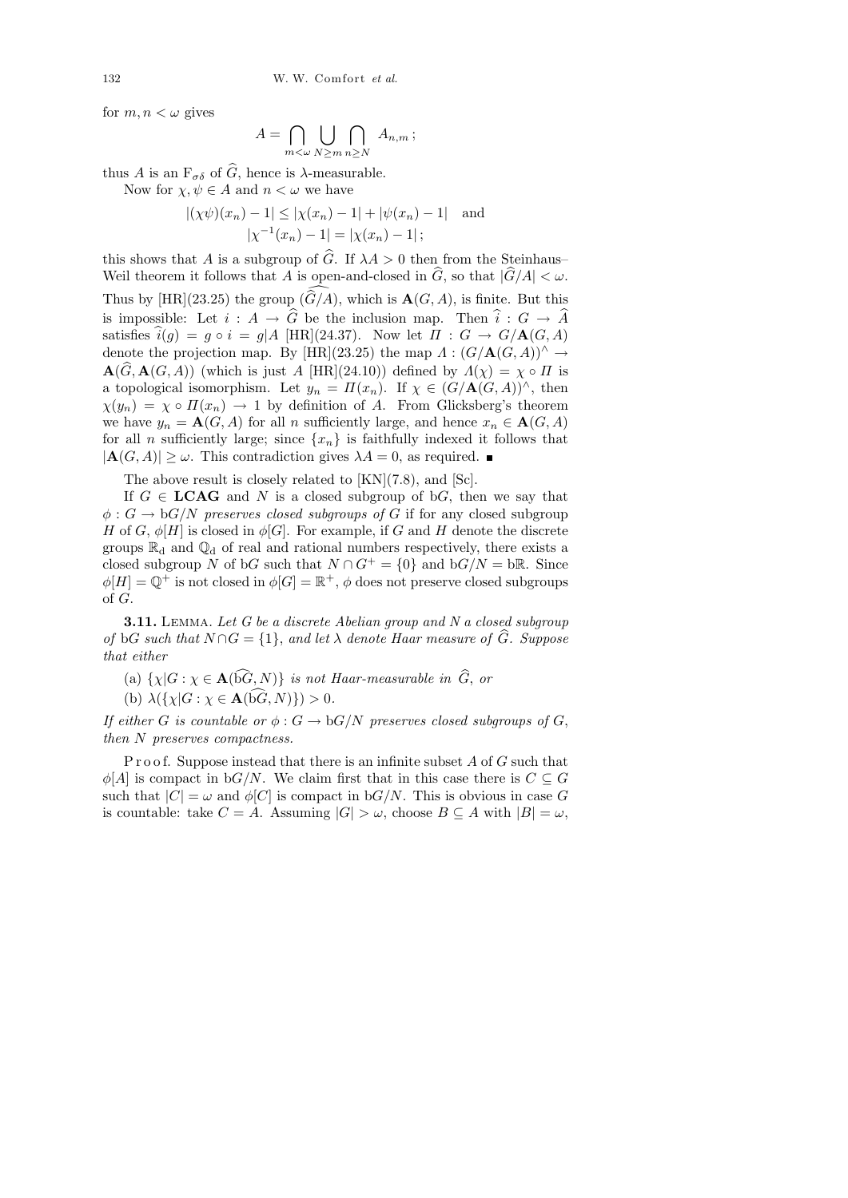for  $m, n < \omega$  gives

$$
A = \bigcap_{m < \omega} \bigcup_{N \ge m} \bigcap_{n \ge N} A_{n,m};
$$

thus A is an  $F_{\sigma\delta}$  of  $\widehat{G}$ , hence is  $\lambda$ -measurable.

 $\overline{A}$ 

Now for  $\chi, \psi \in A$  and  $n < \omega$  we have

$$
|(\chi\psi)(x_n) - 1| \le |\chi(x_n) - 1| + |\psi(x_n) - 1| \text{ and}
$$
  

$$
|\chi^{-1}(x_n) - 1| = |\chi(x_n) - 1|;
$$

this shows that A is a subgroup of  $\hat{G}$ . If  $\lambda A > 0$  then from the Steinhaus– Weil theorem it follows that A is open-and-closed in  $\widehat{G}$ , so that  $|\widehat{G}/A| < \omega$ . Thus by  $[HR](23.25)$  the group  $(\widehat{G}/A)$ , which is  $\mathbf{A}(G, A)$ , is finite. But this is impossible: Let  $i : A \to \widehat{G}$  be the inclusion map. Then  $\widehat{i} : G \to \widehat{A}$ satisfies  $\hat{i}(g) = g \circ i = g/A$  [HR](24.37). Now let  $\Pi : G \to G/A(G,A)$ denote the projection map. By [HR](23.25) the map  $\Lambda : (G/\mathbf{A}(G, A))^{\wedge} \to$  $\mathbf{A}(G, \mathbf{A}(G, A))$  (which is just A [HR](24.10)) defined by  $\Lambda(\chi) = \chi \circ \Pi$  is a topological isomorphism. Let  $y_n = \Pi(x_n)$ . If  $\chi \in (G/\mathbf{A}(G,A))^{\wedge}$ , then  $\chi(y_n) = \chi \circ \Pi(x_n) \to 1$  by definition of A. From Glicksberg's theorem we have  $y_n = \mathbf{A}(G, A)$  for all n sufficiently large, and hence  $x_n \in \mathbf{A}(G, A)$ for all n sufficiently large; since  $\{x_n\}$  is faithfully indexed it follows that  $|\mathbf{A}(G, A)| \geq \omega$ . This contradiction gives  $\lambda A = 0$ , as required.

The above result is closely related to [KN](7.8), and [Sc].

If  $G \in \mathbf{LCAG}$  and N is a closed subgroup of bG, then we say that  $\phi: G \to \mathrm{b}G/N$  preserves closed subgroups of G if for any closed subgroup H of G,  $\phi[H]$  is closed in  $\phi[G]$ . For example, if G and H denote the discrete groups  $\mathbb{R}_d$  and  $\mathbb{Q}_d$  of real and rational numbers respectively, there exists a closed subgroup N of bG such that  $N \cap G^+ = \{0\}$  and  $bG/N = b\mathbb{R}$ . Since  $\phi[H] = \mathbb{Q}^+$  is not closed in  $\phi[G] = \mathbb{R}^+, \phi$  does not preserve closed subgroups of G.

**3.11.** LEMMA. Let G be a discrete Abelian group and N a closed subgroup of bG such that  $N \cap G = \{1\}$ , and let  $\lambda$  denote Haar measure of  $\hat{G}$ . Suppose that either

- (a)  $\{\chi | G : \chi \in \mathbf{A}(\widehat{bG}, N)\}\$ is not Haar-measurable in  $\widehat{G}$ , or
- (b)  $\lambda({\chi|G : \chi \in \mathbf{A}(\widehat{bG}, N)} > 0.$

If either G is countable or  $\phi : G \to \mathrm{b}G/N$  preserves closed subgroups of G, then N preserves compactness.

P r o o f. Suppose instead that there is an infinite subset  $A$  of  $G$  such that  $\phi[A]$  is compact in b $G/N$ . We claim first that in this case there is  $C \subseteq G$ such that  $|C| = \omega$  and  $\phi[C]$  is compact in b $G/N$ . This is obvious in case G is countable: take  $C = A$ . Assuming  $|G| > \omega$ , choose  $B \subseteq A$  with  $|B| = \omega$ ,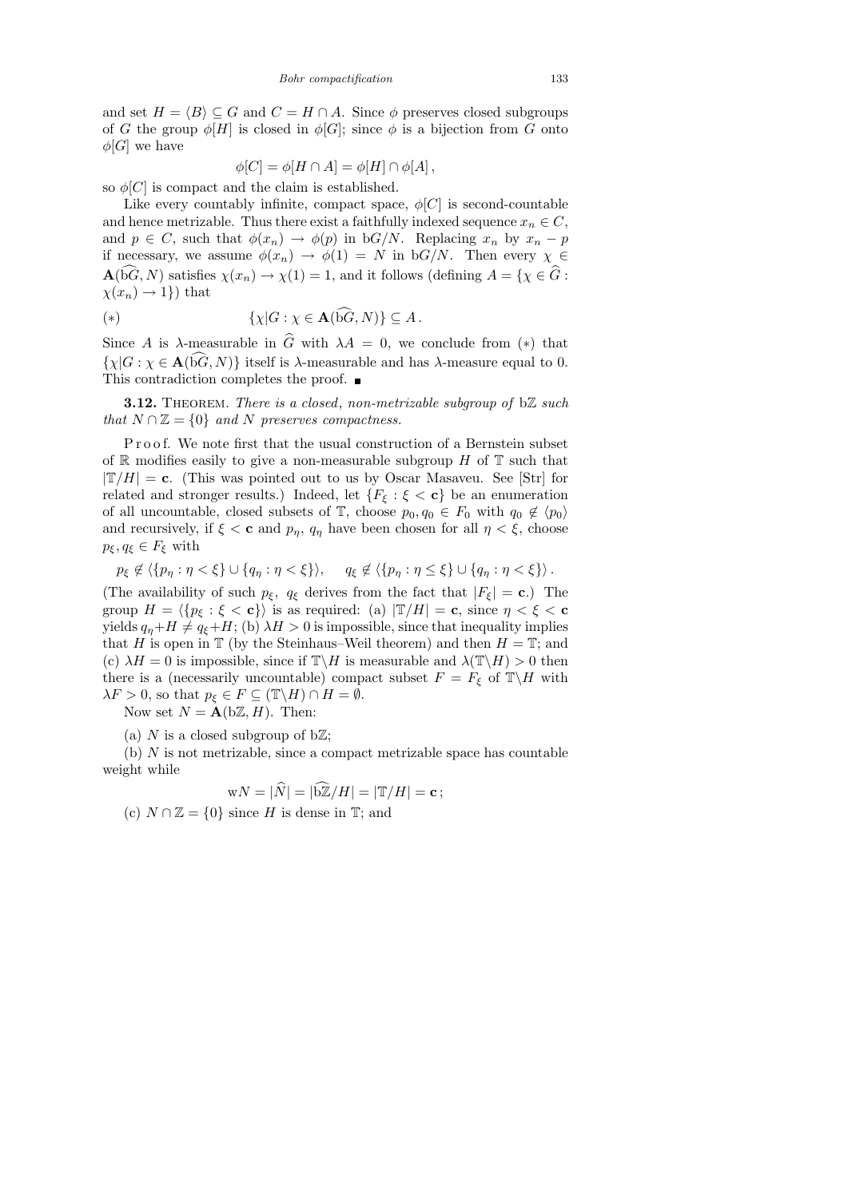and set  $H = \langle B \rangle \subseteq G$  and  $C = H \cap A$ . Since  $\phi$  preserves closed subgroups of G the group  $\phi[H]$  is closed in  $\phi[G]$ ; since  $\phi$  is a bijection from G onto  $\phi[G]$  we have

$$
\phi[C] = \phi[H \cap A] = \phi[H] \cap \phi[A],
$$

so  $\phi[C]$  is compact and the claim is established.

Like every countably infinite, compact space,  $\phi[C]$  is second-countable and hence metrizable. Thus there exist a faithfully indexed sequence  $x_n \in C$ , and  $p \in C$ , such that  $\phi(x_n) \to \phi(p)$  in bG/N. Replacing  $x_n$  by  $x_n - p$ if necessary, we assume  $\phi(x_n) \to \phi(1) = N$  in bG/N. Then every  $\chi \in$  $\mathbf{A}(\mathbf{b}G, N)$  satisfies  $\chi(x_n) \to \chi(1) = 1$ , and it follows (defining  $A = \{ \chi \in \widehat{G} :$  $\chi(x_n) \to 1$ ) that

$$
(*) \qquad \qquad \{\chi|G:\chi\in\mathbf{A}(\hat{\mathbf{b}}\hat{G},N)\}\subseteq A\,.
$$

Since A is  $\lambda$ -measurable in  $\hat{G}$  with  $\lambda A = 0$ , we conclude from (\*) that  $\{\chi | G : \chi \in \mathbf{A}(\widehat{bG},N)\}\)$  itself is  $\lambda$ -measurable and has  $\lambda$ -measure equal to 0. This contradiction completes the proof.  $\blacksquare$ 

**3.12.** THEOREM. There is a closed, non-metrizable subgroup of  $b\mathbb{Z}$  such that  $N \cap \mathbb{Z} = \{0\}$  and N preserves compactness.

Proof. We note first that the usual construction of a Bernstein subset of  $\mathbb R$  modifies easily to give a non-measurable subgroup H of  $\mathbb T$  such that  $|\mathbb{T}/H| = c$ . (This was pointed out to us by Oscar Masaveu. See [Str] for related and stronger results.) Indeed, let  $\{F_{\xi} : \xi < \mathbf{c}\}\$  be an enumeration of all uncountable, closed subsets of  $\mathbb{T}$ , choose  $p_0, q_0 \in F_0$  with  $q_0 \notin \langle p_0 \rangle$ and recursively, if  $\xi < c$  and  $p_{\eta}$ ,  $q_{\eta}$  have been chosen for all  $\eta < \xi$ , choose  $p_{\xi}, q_{\xi} \in F_{\xi}$  with

 $p_{\xi} \notin \langle \{p_{\eta} : \eta < \xi\} \cup \{q_{\eta} : \eta < \xi\} \rangle, \quad q_{\xi} \notin \langle \{p_{\eta} : \eta \leq \xi\} \cup \{q_{\eta} : \eta < \xi\} \rangle.$ 

(The availability of such  $p_{\xi}$ ,  $q_{\xi}$  derives from the fact that  $|F_{\xi}| = \mathbf{c}$ .) The group  $H = \langle \{p_{\xi} : \xi < c\}\rangle$  is as required: (a)  $|\mathbb{T}/H| = c$ , since  $\eta < \xi < c$ yields  $q_n+H \neq q_{\xi}+H$ ; (b)  $\lambda H > 0$  is impossible, since that inequality implies that H is open in  $\mathbb T$  (by the Steinhaus–Weil theorem) and then  $H = \mathbb T$ ; and (c)  $\lambda H = 0$  is impossible, since if  $\mathbb{T} \backslash H$  is measurable and  $\lambda(\mathbb{T} \backslash H) > 0$  then there is a (necessarily uncountable) compact subset  $F = F_{\xi}$  of  $\mathbb{T}\setminus H$  with  $\lambda F > 0$ , so that  $p_{\xi} \in F \subseteq (\mathbb{T} \backslash H) \cap H = \emptyset$ .

Now set  $N = \mathbf{A}(\mathbf{b}\mathbb{Z}, H)$ . Then:

(a) N is a closed subgroup of  $b\mathbb{Z}$ ;

 $(b)$  N is not metrizable, since a compact metrizable space has countable weight while

$$
wN = |\widehat{N}| = |\widehat{bZ}/H| = |\mathbb{T}/H| = c;
$$

(c)  $N \cap \mathbb{Z} = \{0\}$  since H is dense in T; and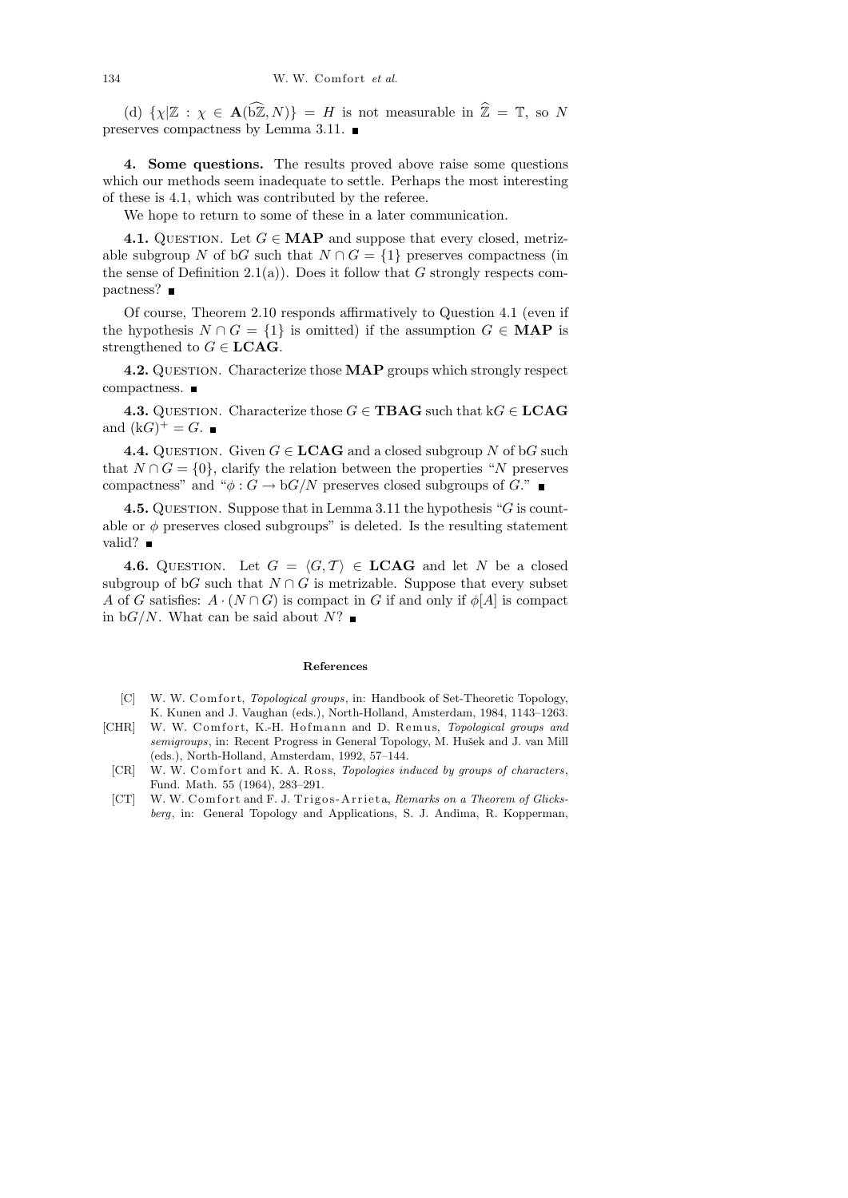(d)  $\{\chi | \mathbb{Z} : \chi \in \mathbf{A}(\widehat{\mathrm{bZ}},N)\} = H$  is not measurable in  $\widehat{\mathbb{Z}} = \mathbb{T}$ , so N preserves compactness by Lemma 3.11.

4. Some questions. The results proved above raise some questions which our methods seem inadequate to settle. Perhaps the most interesting of these is 4.1, which was contributed by the referee.

We hope to return to some of these in a later communication.

4.1. QUESTION. Let  $G \in \textbf{MAP}$  and suppose that every closed, metrizable subgroup N of bG such that  $N \cap G = \{1\}$  preserves compactness (in the sense of Definition 2.1(a)). Does it follow that  $G$  strongly respects compactness? ■

Of course, Theorem 2.10 responds affirmatively to Question 4.1 (even if the hypothesis  $N \cap G = \{1\}$  is omitted) if the assumption  $G \in \mathbf{MAP}$  is strengthened to  $G \in \mathbf{LCAG}$ .

4.2. QUESTION. Characterize those **MAP** groups which strongly respect compactness.

**4.3.** QUESTION. Characterize those  $G \in \mathbf{T}BAG$  such that  $kG \in \mathbf{LCAG}$ and  $(kG)^{+} = G$ .

**4.4.** QUESTION. Given  $G \in \mathbf{LCAG}$  and a closed subgroup N of bG such that  $N \cap G = \{0\}$ , clarify the relation between the properties "N preserves" compactness" and " $\phi$ :  $G \rightarrow bG/N$  preserves closed subgroups of G."

**4.5.** QUESTION. Suppose that in Lemma 3.11 the hypothesis " $G$  is countable or  $\phi$  preserves closed subgroups" is deleted. Is the resulting statement valid?  $\blacksquare$ 

4.6. QUESTION. Let  $G = \langle G, \mathcal{T} \rangle \in \mathbf{LCAG}$  and let N be a closed subgroup of bG such that  $N \cap G$  is metrizable. Suppose that every subset A of G satisfies:  $A \cdot (N \cap G)$  is compact in G if and only if  $\phi[A]$  is compact in  $\mathrm{b}G/N$ . What can be said about  $N$ ?

### **References**

- [C] W. W. Comfort, *Topological groups*, in: Handbook of Set-Theoretic Topology, K. Kunen and J. Vaughan (eds.), North-Holland, Amsterdam, 1984, 1143–1263.
- [CHR] W. W. Comfort, K.-H. Hofmann and D. Remus, *Topological groups and* semigroups, in: Recent Progress in General Topology, M. Hušek and J. van Mill (eds.), North-Holland, Amsterdam, 1992, 57–144.
- [CR] W. W. Comfort and K. A. Ross, *Topologies induced by groups of characters*, Fund. Math. 55 (1964), 283–291.
- [CT] W. W. Comfort and F. J. Trigos-Arrieta, *Remarks on a Theorem of Glicksberg*, in: General Topology and Applications, S. J. Andima, R. Kopperman,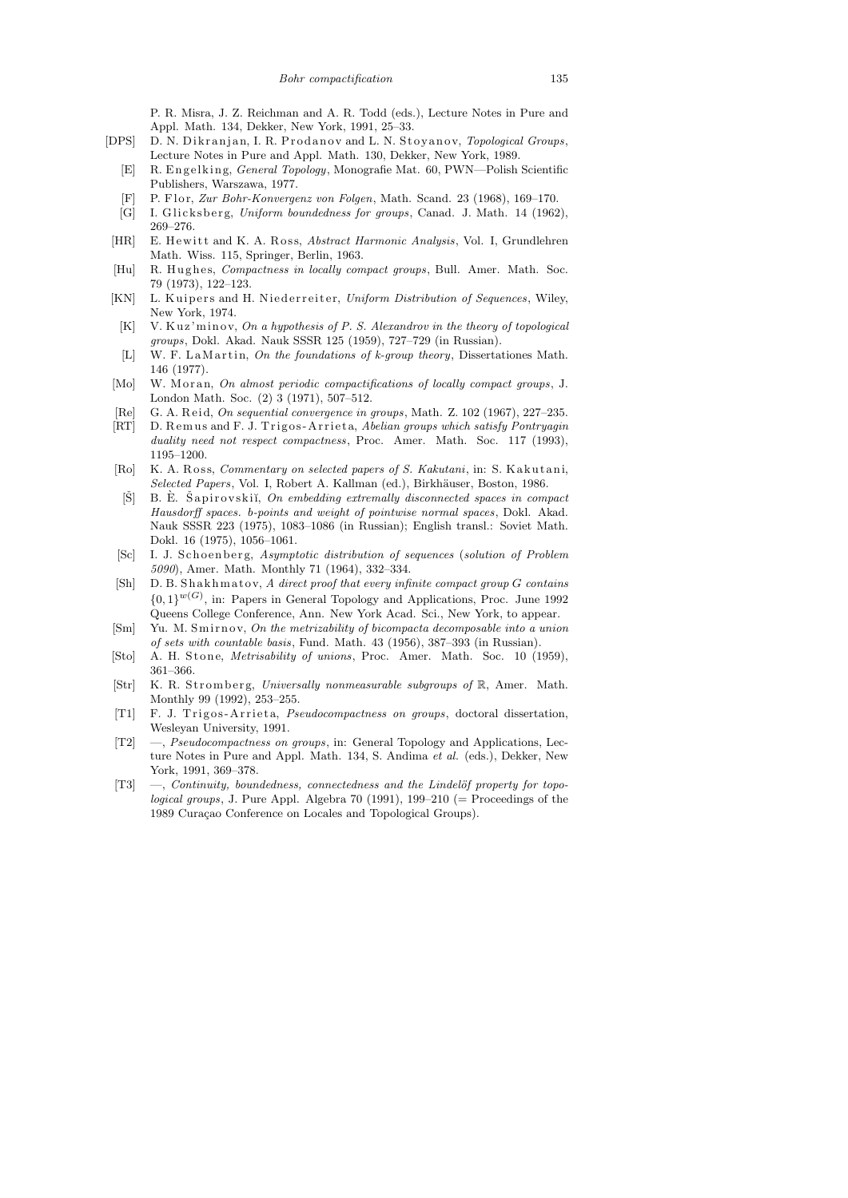P. R. Misra, J. Z. Reichman and A. R. Todd (eds.), Lecture Notes in Pure and Appl. Math. 134, Dekker, New York, 1991, 25–33.

- [DPS] D. N. Dikranjan, I. R. Prodanov and L. N. Stoyanov, *Topological Groups*, Lecture Notes in Pure and Appl. Math. 130, Dekker, New York, 1989.
	- [E] R. Engelking, *General Topology*, Monografie Mat. 60, PWN—Polish Scientific Publishers, Warszawa, 1977.
	- [F] P. Flor, *Zur Bohr-Konvergenz von Folgen*, Math. Scand. 23 (1968), 169-170.
	- [G] I. Glicksberg, *Uniform boundedness for groups*, Canad. J. Math. 14 (1962), 269–276.
- [HR] E. Hewitt and K. A. Ross, *Abstract Harmonic Analysis*, Vol. I, Grundlehren Math. Wiss. 115, Springer, Berlin, 1963.
- [Hu] R. Hughes, *Compactness in locally compact groups*, Bull. Amer. Math. Soc. 79 (1973), 122–123.
- [KN] L. Kuipers and H. Niederreiter, *Uniform Distribution of Sequences*, Wiley, New York, 1974.
- [K] V. Kuz'minov, *On a hypothesis of P. S. Alexandrov in the theory of topological groups*, Dokl. Akad. Nauk SSSR 125 (1959), 727–729 (in Russian).
- [L] W. F. LaMartin, *On the foundations of k-group theory*, Dissertationes Math. 146 (1977).
- [Mo] W. Moran, *On almost periodic compactifications of locally compact groups*, J. London Math. Soc. (2) 3 (1971), 507–512.
- [Re] G. A. R ei d, *On sequential convergence in groups*, Math. Z. 102 (1967), 227–235.
- [RT] D. Remus and F. J. Trigos-Arrieta, *Abelian groups which satisfy Pontryagin duality need not respect compactness*, Proc. Amer. Math. Soc. 117 (1993), 1195–1200.
- [Ro] K. A. Ross, *Commentary on selected papers of S. Kakutani*, in: S. Kakutani, *Selected Papers*, Vol. I, Robert A. Kallman (ed.), Birkhäuser, Boston, 1986.
- [Š] B. È. Šapirovskiĭ, On embedding extremally disconnected spaces in compact *Hausdorff spaces. b-points and weight of pointwise normal spaces*, Dokl. Akad. Nauk SSSR 223 (1975), 1083–1086 (in Russian); English transl.: Soviet Math. Dokl. 16 (1975), 1056–1061.
- [Sc] I. J. Schoenberg, *Asymptotic distribution of sequences* (*solution of Problem 5090*), Amer. Math. Monthly 71 (1964), 332–334.
- [Sh] D. B. Shakhmatov, *A* direct proof that every infinite compact group *G* contains  ${0,1}^{w(G)}$ , in: Papers in General Topology and Applications, Proc. June 1992 Queens College Conference, Ann. New York Acad. Sci., New York, to appear.
- [Sm] Yu. M. Smirnov, *On the metrizability of bicompacta decomposable into a union of sets with countable basis*, Fund. Math. 43 (1956), 387–393 (in Russian).
- [Sto] A. H. Stone, *Metrisability of unions*, Proc. Amer. Math. Soc. 10 (1959), 361–366.
- [Str] K. R. Stromberg, *Universally nonmeasurable subgroups of* R, Amer. Math. Monthly 99 (1992), 253–255.
- [T1] F. J. Trigos-Arrieta, *Pseudocompactness on groups*, doctoral dissertation, Wesleyan University, 1991.
- [T2] —, *Pseudocompactness on groups*, in: General Topology and Applications, Lecture Notes in Pure and Appl. Math. 134, S. Andima *et al.* (eds.), Dekker, New York, 1991, 369–378.
- [T3] —, *Continuity, boundedness, connectedness and the Lindelöf property for topological groups*, J. Pure Appl. Algebra 70 (1991),  $199-210$  (= Proceedings of the 1989 Curação Conference on Locales and Topological Groups).